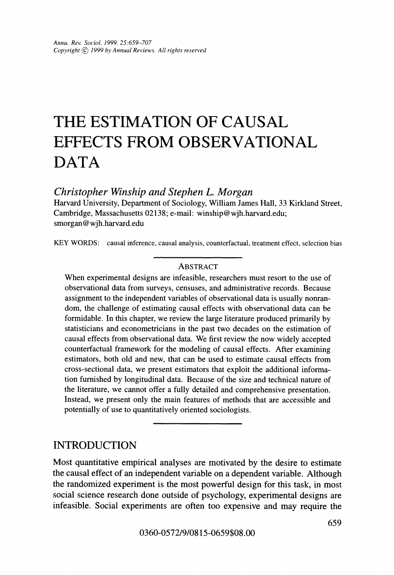# **THE ESTIMATION OF CAUSAL EFFECTS FROM OBSERVATIONAL DATA**

**Christopher Winship and Stephen L. Morgan Harvard University, Department of Sociology, William James Hall, 33 Kirkland Street, Cambridge, Massachusetts 02138; e-mail: winship@wjh.harvard.edu; smorgan@wjh.harvard.edu** 

**KEY WORDS: causal inference, causal analysis, counterfactual, treatment effect, selection bias** 

#### **ABSTRACT**

**When experimental designs are infeasible, researchers must resort to the use of observational data from surveys, censuses, and administrative records. Because assignment to the independent variables of observational data is usually nonrandom, the challenge of estimating causal effects with observational data can be formidable. In this chapter, we review the large literature produced primarily by statisticians and econometricians in the past two decades on the estimation of causal effects from observational data. We first review the now widely accepted counterfactual framework for the modeling of causal effects. After examining estimators, both old and new, that can be used to estimate causal effects from cross-sectional data, we present estimators that exploit the additional information furnished by longitudinal data. Because of the size and technical nature of the literature, we cannot offer a fully detailed and comprehensive presentation. Instead, we present only the main features of methods that are accessible and potentially of use to quantitatively oriented sociologists.** 

## **INTRODUCTION**

**Most quantitative empirical analyses are motivated by the desire to estimate the causal effect of an independent variable on a dependent variable. Although the randomized experiment is the most powerful design for this task, in most social science research done outside of psychology, experimental designs are infeasible. Social experiments are often too expensive and may require the**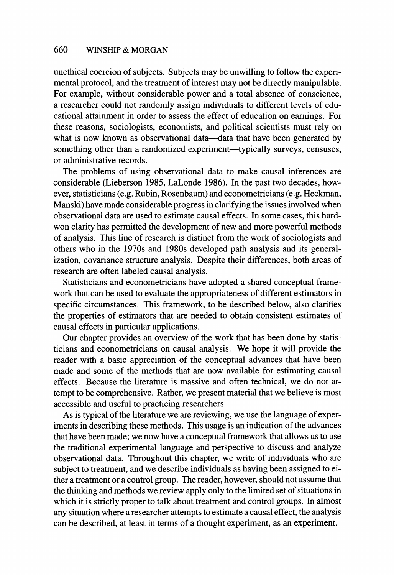**unethical coercion of subjects. Subjects may be unwilling to follow the experimental protocol, and the treatment of interest may not be directly manipulable. For example, without considerable power and a total absence of conscience, a researcher could not randomly assign individuals to different levels of educational attainment in order to assess the effect of education on earnings. For these reasons, sociologists, economists, and political scientists must rely on**  what is now known as observational data—data that have been generated by something other than a randomized experiment-typically surveys, censuses, **or administrative records.** 

**The problems of using observational data to make causal inferences are considerable (Lieberson 1985, LaLonde 1986). In the past two decades, however, statisticians (e.g. Rubin, Rosenbaum) and econometricians (e.g. Heckman, Manski) have made considerable progress in clarifying the issues involved when observational data are used to estimate causal effects. In some cases, this hardwon clarity has permitted the development of new and more powerful methods of analysis. This line of research is distinct from the work of sociologists and others who in the 1970s and 1980s developed path analysis and its generalization, covariance structure analysis. Despite their differences, both areas of research are often labeled causal analysis.** 

**Statisticians and econometricians have adopted a shared conceptual framework that can be used to evaluate the appropriateness of different estimators in specific circumstances. This framework, to be described below, also clarifies the properties of estimators that are needed to obtain consistent estimates of causal effects in particular applications.** 

**Our chapter provides an overview of the work that has been done by statisticians and econometricians on causal analysis. We hope it will provide the reader with a basic appreciation of the conceptual advances that have been made and some of the methods that are now available for estimating causal effects. Because the literature is massive and often technical, we do not attempt to be comprehensive. Rather, we present material that we believe is most accessible and useful to practicing researchers.** 

**As is typical of the literature we are reviewing, we use the language of experiments in describing these methods. This usage is an indication of the advances that have been made; we now have a conceptual framework that allows us to use the traditional experimental language and perspective to discuss and analyze observational data. Throughout this chapter, we write of individuals who are subject to treatment, and we describe individuals as having been assigned to either a treatment or a control group. The reader, however, should not assume that the thinking and methods we review apply only to the limited set of situations in which it is strictly proper to talk about treatment and control groups. In almost any situation where a researcher attempts to estimate a causal effect, the analysis can be described, at least in terms of a thought experiment, as an experiment.**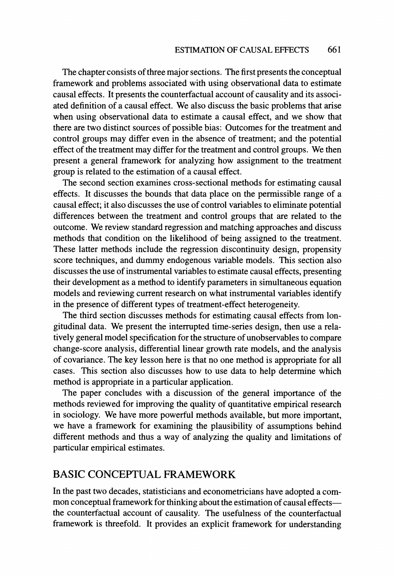**The chapter consists of three major sections. The first presents the conceptual framework and problems associated with using observational data to estimate causal effects. It presents the counterfactual account of causality and its associated definition of a causal effect. We also discuss the basic problems that arise when using observational data to estimate a causal effect, and we show that there are two distinct sources of possible bias: Outcomes for the treatment and control groups may differ even in the absence of treatment; and the potential effect of the treatment may differ for the treatment and control groups. We then present a general framework for analyzing how assignment to the treatment group is related to the estimation of a causal effect.** 

**The second section examines cross-sectional methods for estimating causal effects. It discusses the bounds that data place on the permissible range of a causal effect; it also discusses the use of control variables to eliminate potential differences between the treatment and control groups that are related to the outcome. We review standard regression and matching approaches and discuss methods that condition on the likelihood of being assigned to the treatment. These latter methods include the regression discontinuity design, propensity score techniques, and dummy endogenous variable models. This section also discusses the use of instrumental variables to estimate causal effects, presenting their development as a method to identify parameters in simultaneous equation models and reviewing current research on what instrumental variables identify in the presence of different types of treatment-effect heterogeneity.** 

**The third section discusses methods for estimating causal effects from longitudinal data. We present the interrupted time-series design, then use a relatively general model specification for the structure of unobservables to compare change-score analysis, differential linear growth rate models, and the analysis of covariance. The key lesson here is that no one method is appropriate for all cases. This section also discusses how to use data to help determine which method is appropriate in a particular application.** 

**The paper concludes with a discussion of the general importance of the methods reviewed for improving the quality of quantitative empirical research in sociology. We have more powerful methods available, but more important, we have a framework for examining the plausibility of assumptions behind different methods and thus a way of analyzing the quality and limitations of particular empirical estimates.** 

## **BASIC CONCEPTUAL FRAMEWORK**

**In the past two decades, statisticians and econometricians have adopted a common conceptual framework for thinking about the estimation of causal effectsthe counterfactual account of causality. The usefulness of the counterfactual framework is threefold. It provides an explicit framework for understanding**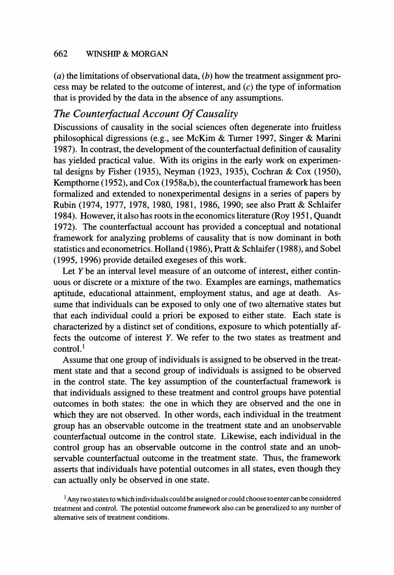(a) the limitations of observational data, (b) how the treatment assignment pro**cess may be related to the outcome of interest, and (c) the type of information that is provided by the data in the absence of any assumptions.** 

## **The Counterfactual Account Of Causality**

**Discussions of causality in the social sciences often degenerate into fruitless philosophical digressions (e.g., see McKim & Turner 1997, Singer & Marini 1987). In contrast, the development of the counterfactual definition of causality has yielded practical value. With its origins in the early work on experimental designs by Fisher (1935), Neyman (1923, 1935), Cochran & Cox (1950), Kempthorne (1952), and Cox (1958a,b), the counterfactual framework has been formalized and extended to nonexperimental designs in a series of papers by Rubin (1974, 1977, 1978, 1980, 1981, 1986, 1990; see also Pratt & Schlaifer 1984). However, it also has roots in the economics literature (Roy 1951, Quandt 1972). The counterfactual account has provided a conceptual and notational framework for analyzing problems of causality that is now dominant in both statistics and econometrics. Holland (1986), Pratt & Schlaifer (1988), and Sobel (1995, 1996) provide detailed exegeses of this work.** 

Let *Y* be an interval level measure of an outcome of interest, either contin**uous or discrete or a mixture of the two. Examples are earnings, mathematics aptitude, educational attainment, employment status, and age at death. Assume that individuals can be exposed to only one of two alternative states but that each individual could a priori be exposed to either state. Each state is characterized by a distinct set of conditions, exposure to which potentially affects the outcome of interest Y. We refer to the two states as treatment and control.1** 

**Assume that one group of individuals is assigned to be observed in the treatment state and that a second group of individuals is assigned to be observed in the control state. The key assumption of the counterfactual framework is that individuals assigned to these treatment and control groups have potential outcomes in both states: the one in which they are observed and the one in which they are not observed. In other words, each individual in the treatment group has an observable outcome in the treatment state and an unobservable counterfactual outcome in the control state. Likewise, each individual in the control group has an observable outcome in the control state and an unobservable counterfactual outcome in the treatment state. Thus, the framework asserts that individuals have potential outcomes in all states, even though they can actually only be observed in one state.** 

<sup>&</sup>lt;sup>1</sup> Any two states to which individuals could be assigned or could choose to enter can be considered **treatment and control. The potential outcome framework also can be generalized to any number of alternative sets of treatment conditions.**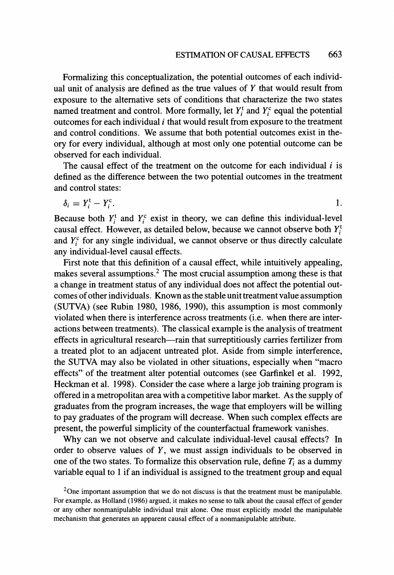**Formalizing this conceptualization, the potential outcomes of each individual unit of analysis are defined as the true values of Y that would result from exposure to the alternative sets of conditions that characterize the two states**  named treatment and control. More formally, let  $Y_i^t$  and  $Y_i^c$  equal the potential **outcomes for each individual i that would result from exposure to the treatment and control conditions. We assume that both potential outcomes exist in theory for every individual, although at most only one potential outcome can be observed for each individual.** 

**The causal effect of the treatment on the outcome for each individual i is defined as the difference between the two potential outcomes in the treatment and control states:** 

$$
\delta_i = Y_i^{\rm t} - Y_i^{\rm c}.
$$

Because both  $Y_i^t$  and  $Y_i^c$  exist in theory, we can define this individual-level causal effect. However, as detailed below, because we cannot observe both  $Y_i^t$ and  $Y_i^c$  for any single individual, we cannot observe or thus directly calculate **any individual-level causal effects.** 

**First note that this definition of a causal effect, while intuitively appealing, makes several assumptions.2 The most crucial assumption among these is that a change in treatment status of any individual does not affect the potential outcomes of other individuals. Known as the stable unit treatment value assumption (SUTVA) (see Rubin 1980, 1986, 1990), this assumption is most commonly violated when there is interference across treatments (i.e. when there are interactions between treatments). The classical example is the analysis of treatment effects in agricultural research-rain that surreptitiously carries fertilizer from a treated plot to an adjacent untreated plot. Aside from simple interference, the SUTVA may also be violated in other situations, especially when "macro effects" of the treatment alter potential outcomes (see Garfinkel et al. 1992, Heckman et al. 1998). Consider the case where a large job training program is offered in a metropolitan area with a competitive labor market. As the supply of graduates from the program increases, the wage that employers will be willing to pay graduates of the program will decrease. When such complex effects are present, the powerful simplicity of the counterfactual framework vanishes.** 

**Why can we not observe and calculate individual-level causal effects? In order to observe values of Y, we must assign individuals to be observed in**  one of the two states. To formalize this observation rule, define  $T_i$  as a dummy **variable equal to 1 if an individual is assigned to the treatment group and equal** 

<sup>&</sup>lt;sup>2</sup> One important assumption that we do not discuss is that the treatment must be manipulable. **For example, as Holland (1986) argued, it makes no sense to talk about the causal effect of gender or any other nonmanipulable individual trait alone. One must explicitly model the manipulable mechanism that generates an apparent causal effect of a nonmanipulable attribute.**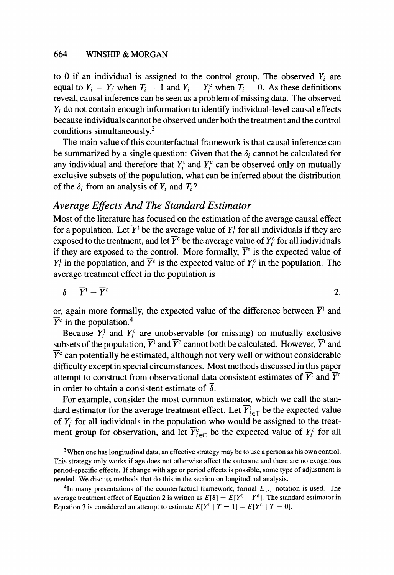to  $0$  if an individual is assigned to the control group. The observed  $Y_i$  are equal to  $Y_i = Y_i^t$  when  $T_i = 1$  and  $Y_i = Y_i^c$  when  $T_i = 0$ . As these definitions **reveal, causal inference can be seen as a problem of missing data. The observed Yi do not contain enough information to identify individual-level causal effects because individuals cannot be observed under both the treatment and the control conditions simultaneously.3** 

**The main value of this counterfactual framework is that causal inference can**  be summarized by a single question: Given that the  $\delta_i$  cannot be calculated for any individual and therefore that  $Y_i^t$  and  $Y_i^c$  can be observed only on mutually **exclusive subsets of the population, what can be inferred about the distribution**  of the  $\delta_i$  from an analysis of  $Y_i$  and  $T_i$ ?

## **Average Effects And The Standard Estimator**

**Most of the literature has focused on the estimation of the average causal effect**  for a population. Let  $\overline{Y}^t$  be the average value of  $Y_i^t$  for all individuals if they are exposed to the treatment, and let  $\overline{Y}^c$  be the average value of  $Y_i^c$  for all individuals if they are exposed to the control. More formally,  $\overline{Y}^t$  is the expected value of  $Y_i^t$  in the population, and  $\overline{Y}^c$  is the expected value of  $Y_i^c$  in the population. The **average treatment effect in the population is** 

$$
\overline{\delta} = \overline{Y}^{\mathfrak{t}} - \overline{Y}^{\mathfrak{c}} \tag{2.}
$$

or, again more formally, the expected value of the difference between  $\overline{Y}^t$  and  $\overline{Y}^c$  in the population.<sup>4</sup>

Because  $Y_i^t$  and  $Y_i^c$  are unobservable (or missing) on mutually exclusive subsets of the population,  $\overline{Y}^t$  and  $\overline{Y}^c$  cannot both be calculated. However,  $\overline{Y}^t$  and  $\overline{Y}^c$  can potentially be estimated, although not very well or without considerable **difficulty except in special circumstances. Most methods discussed in this paper**  attempt to construct from observational data consistent estimates of  $\overline{Y}^t$  and  $\overline{Y}^c$ in order to obtain a consistent estimate of  $\overline{\delta}$ .

**For example, consider the most common estimator, which we call the stan**dard estimator for the average treatment effect. Let  $\overline{Y}_{i\in\mathcal{T}}^t$  be the expected value of  $Y_i^t$  for all individuals in the population who would be assigned to the treatment group for observation, and let  $\overline{Y}_{i\in C}^{\text{c}}$  be the expected value of  $Y_i^{\text{c}}$  for all

<sup>3</sup>When one has longitudinal data, an effective strategy may be to use a person as his own control. **This strategy only works if age does not otherwise affect the outcome and there are no exogenous period-specific effects. If change with age or period effects is possible, some type of adjustment is needed. We discuss methods that do this in the section on longitudinal analysis.** 

**4In many presentations of the counterfactual framework, formal E[.] notation is used. The**  average treatment effect of Equation 2 is written as  $E[\delta] = E[Y^{\dagger} - Y^{\c}]$ . The standard estimator in Equation 3 is considered an attempt to estimate  $E[Y^t | T = 1] - E[Y^c | T = 0]$ .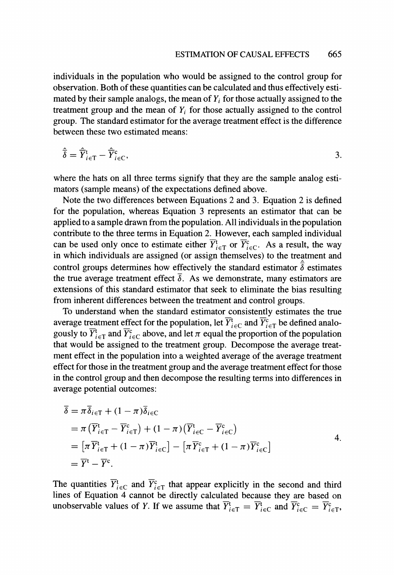**individuals in the population who would be assigned to the control group for observation. Both of these quantities can be calculated and thus effectively esti**mated by their sample analogs, the mean of  $Y_i$  for those actually assigned to the treatment group and the mean of  $Y_i$  for those actually assigned to the control **group. The standard estimator for the average treatment effect is the difference between these two estimated means:** 

$$
\hat{\delta} = \hat{\overline{Y}}_{i \in \mathsf{T}}^{\mathsf{t}} - \hat{\overline{Y}}_{i \in \mathsf{C}}^{\mathsf{c}},\tag{3.}
$$

**where the hats on all three terms signify that they are the sample analog estimators (sample means) of the expectations defined above.** 

**Note the two differences between Equations 2 and 3. Equation 2 is defined for the population, whereas Equation 3 represents an estimator that can be applied to a sample drawn from the population. All individuals in the population contribute to the three terms in Equation 2. However, each sampled individual**  can be used only once to estimate either  $\overline{Y}_{i\in\mathcal{T}}^t$  or  $\overline{Y}_{i\in\mathcal{C}}^c$ . As a result, the way **in which individuals are assigned (or assign themselves) to the treatment and**  control groups determines how effectively the standard estimator  $\hat{\delta}$  estimates the true average treatment effect  $\overline{\delta}$ . As we demonstrate, many estimators are **extensions of this standard estimator that seek to eliminate the bias resulting from inherent differences between the treatment and control groups.** 

**To understand when the standard estimator consistently estimates the true**  average treatment effect for the population, let  $\overline{Y}_{i\in C}^t$  and  $\overline{Y}_{i\in T}^c$  be defined analogously to  $Y_{i \in \text{T}}^t$  and  $Y_{i \in \text{C}}^c$  above, and let  $\pi$  equal the proportion of the population **that would be assigned to the treatment group. Decompose the average treatment effect in the population into a weighted average of the average treatment effect for those in the treatment group and the average treatment effect for those in the control group and then decompose the resulting terms into differences in average potential outcomes:** 

$$
\overline{\delta} = \pi \overline{\delta}_{i\in\mathsf{T}} + (1 - \pi) \overline{\delta}_{i\in\mathsf{C}}
$$
\n
$$
= \pi \left( \overline{Y}_{i\in\mathsf{T}}^{\mathsf{t}} - \overline{Y}_{i\in\mathsf{T}}^{\mathsf{c}} \right) + (1 - \pi) \left( \overline{Y}_{i\in\mathsf{C}}^{\mathsf{t}} - \overline{Y}_{i\in\mathsf{C}}^{\mathsf{c}} \right)
$$
\n
$$
= \left[ \pi \overline{Y}_{i\in\mathsf{T}}^{\mathsf{t}} + (1 - \pi) \overline{Y}_{i\in\mathsf{C}}^{\mathsf{t}} \right] - \left[ \pi \overline{Y}_{i\in\mathsf{T}}^{\mathsf{c}} + (1 - \pi) \overline{Y}_{i\in\mathsf{C}}^{\mathsf{c}} \right]
$$
\n
$$
= \overline{Y}^{\mathsf{t}} - \overline{Y}^{\mathsf{c}}.
$$
\n4.

The quantities  $\overline{Y}_{i\in\mathbb{C}}^t$  and  $\overline{Y}_{i\in\mathbb{C}}^c$  that appear explicitly in the second and third **lines of Equation 4 cannot be directly calculated because they are based on**  unobservable values of Y. If we assume that  $\overline{Y}_{i \in \mathcal{T}}^t = \overline{Y}_{i \in \mathcal{C}}^t$  and  $\overline{Y}_{i \in \mathcal{C}}^c = \overline{Y}_{i \in \mathcal{T}}^c$ ,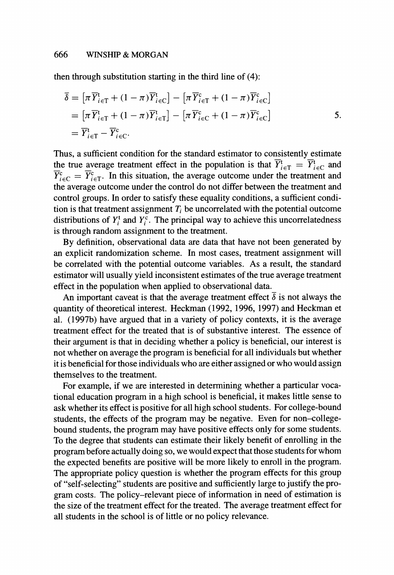**then through substitution starting in the third line of (4):** 

$$
\overline{\delta} = [\pi \overline{Y}_{i\in\Upsilon}^t + (1 - \pi) \overline{Y}_{i\in\Upsilon}^t] - [\pi \overline{Y}_{i\in\Upsilon}^c + (1 - \pi) \overline{Y}_{i\in\Upsilon}^c]
$$
  
\n
$$
= [\pi \overline{Y}_{i\in\Upsilon}^t + (1 - \pi) \overline{Y}_{i\in\Upsilon}^t] - [\pi \overline{Y}_{i\in\Upsilon}^c + (1 - \pi) \overline{Y}_{i\in\Upsilon}^c]
$$
  
\n
$$
= \overline{Y}_{i\in\Upsilon}^t - \overline{Y}_{i\in\Upsilon}^c.
$$

**Thus, a sufficient condition for the standard estimator to consistently estimate**  the true average treatment effect in the population is that  $\overline{Y}_{i \in \mathcal{T}}^t = \overline{Y}_{i \in \mathcal{C}}^t$  and  $\overline{Y}_{i\in C}^c = \overline{Y}_{i\in T}^c$ . In this situation, the average outcome under the treatment and **the average outcome under the control do not differ between the treatment and control groups. In order to satisfy these equality conditions, a sufficient condi**tion is that treatment assignment  $T_i$  be uncorrelated with the potential outcome distributions of  $Y_i^t$  and  $Y_i^c$ . The principal way to achieve this uncorrelatedness **is through random assignment to the treatment.** 

**By definition, observational data are data that have not been generated by an explicit randomization scheme. In most cases, treatment assignment will be correlated with the potential outcome variables. As a result, the standard estimator will usually yield inconsistent estimates of the true average treatment effect in the population when applied to observational data.** 

An important caveat is that the average treatment effect  $\overline{\delta}$  is not always the **quantity of theoretical interest. Heckman (1992, 1996, 1997) and Heckman et al. (1997b) have argued that in a variety of policy contexts, it is the average treatment effect for the treated that is of substantive interest. The essence of their argument is that in deciding whether a policy is beneficial, our interest is not whether on average the program is beneficial for all individuals but whether it is beneficial for those individuals who are either assigned or who would assign themselves to the treatment.** 

**For example, if we are interested in determining whether a particular vocational education program in a high school is beneficial, it makes little sense to ask whether its effect is positive for all high school students. For college-bound students, the effects of the program may be negative. Even for non-collegebound students, the program may have positive effects only for some students. To the degree that students can estimate their likely benefit of enrolling in the program before actually doing so, we would expect that those students for whom the expected benefits are positive will be more likely to enroll in the program. The appropriate policy question is whether the program effects for this group of "self-selecting" students are positive and sufficiently large to justify the program costs. The policy-relevant piece of information in need of estimation is the size of the treatment effect for the treated. The average treatment effect for all students in the school is of little or no policy relevance.**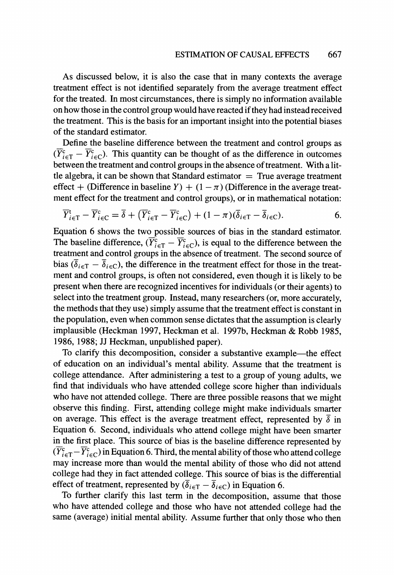**As discussed below, it is also the case that in many contexts the average treatment effect is not identified separately from the average treatment effect for the treated. In most circumstances, there is simply no information available on how those in the control group would have reacted if they had instead received the treatment. This is the basis for an important insight into the potential biases of the standard estimator.** 

**Define the baseline difference between the treatment and control groups as**   $(\overline{Y}_{i\in\mathcal{T}}^{\mathcal{C}} - \overline{Y}_{i\in\mathcal{C}}^{\mathcal{C}})$ . This quantity can be thought of as the difference in outcomes **between the treatment and control groups in the absence of treatment. With a lit**tle algebra, it can be shown that Standard estimator  $=$  True average treatment effect + (Difference in baseline Y) +  $(1 - \pi)$  (Difference in the average treat**ment effect for the treatment and control groups), or in mathematical notation:** 

$$
\overline{Y}_{i\in\mathcal{T}}^{\mathfrak{t}} - \overline{Y}_{i\in\mathcal{C}}^{\mathfrak{c}} = \overline{\delta} + (\overline{Y}_{i\in\mathcal{T}}^{\mathfrak{c}} - \overline{Y}_{i\in\mathcal{C}}^{\mathfrak{c}}) + (1 - \pi)(\overline{\delta}_{i\in\mathcal{T}} - \overline{\delta}_{i\in\mathcal{C}}).
$$
6.

**Equation 6 shows the two possible sources of bias in the standard estimator.**  The baseline difference,  $(\overline{Y}_{i\in\Gamma}^c - \overline{Y}_{i\in\Gamma}^c)$ , is equal to the difference between the **treatment and control groups in the absence of treatment. The second source of**  bias  $(\overline{\delta}_{i\in\mathcal{T}} - \overline{\delta}_{i\in\mathcal{C}})$ , the difference in the treatment effect for those in the treat**ment and control groups, is often not considered, even though it is likely to be present when there are recognized incentives for individuals (or their agents) to select into the treatment group. Instead, many researchers (or, more accurately, the methods that they use) simply assume that the treatment effect is constant in the population, even when common sense dictates that the assumption is clearly implausible (Heckman 1997, Heckman et al. 1997b, Heckman & Robb 1985, 1986, 1988; JJ Heckman, unpublished paper).** 

To clarify this decomposition, consider a substantive example—the effect **of education on an individual's mental ability. Assume that the treatment is college attendance. After administering a test to a group of young adults, we find that individuals who have attended college score higher than individuals who have not attended college. There are three possible reasons that we might observe this finding. First, attending college might make individuals smarter**  on average. This effect is the average treatment effect, represented by  $\overline{\delta}$  in **Equation 6. Second, individuals who attend college might have been smarter in the first place. This source of bias is the baseline difference represented by**   $(\overline{Y}_{i\in\mathcal{T}}^c - \overline{Y}_{i\in\mathcal{C}}^c)$  in Equation 6. Third, the mental ability of those who attend college **may increase more than would the mental ability of those who did not attend college had they in fact attended college. This source of bias is the differential**  effect of treatment, represented by  $(\overline{\delta}_{i \in T} - \overline{\delta}_{i \in C})$  in Equation 6.

**To further clarify this last term in the decomposition, assume that those who have attended college and those who have not attended college had the same (average) initial mental ability. Assume further that only those who then**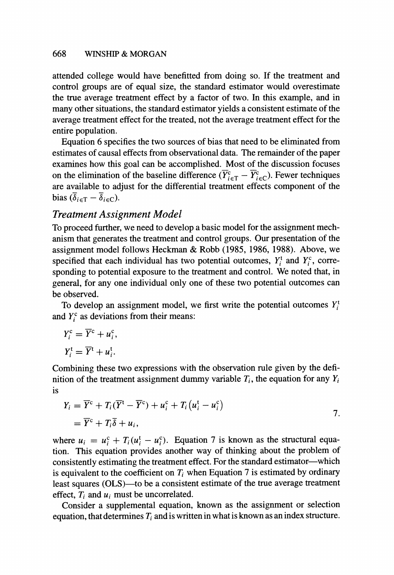**attended college would have benefitted from doing so. If the treatment and control groups are of equal size, the standard estimator would overestimate the true average treatment effect by a factor of two. In this example, and in many other situations, the standard estimator yields a consistent estimate of the average treatment effect for the treated, not the average treatment effect for the entire population.** 

**Equation 6 specifies the two sources of bias that need to be eliminated from estimates of causal effects from observational data. The remainder of the paper examines how this goal can be accomplished. Most of the discussion focuses**  on the elimination of the baseline difference  $(\overline{Y}_{i \in \Gamma}^{\rm c} - \overline{Y}_{i \in \Gamma}^{\rm c})$ . Fewer techniques **are available to adjust for the differential treatment effects component of the bias**  $(\overline{\delta}_{i\in\mathcal{T}} - \overline{\delta}_{i\in\mathcal{C}})$ .

## **Treatment Assignment Model**

**To proceed further, we need to develop a basic model for the assignment mechanism that generates the treatment and control groups. Our presentation of the assignment model follows Heckman & Robb (1985, 1986, 1988). Above, we**  specified that each individual has two potential outcomes,  $Y_i^t$  and  $Y_i^c$ , corre**sponding to potential exposure to the treatment and control. We noted that, in general, for any one individual only one of these two potential outcomes can be observed.** 

To develop an assignment model, we first write the potential outcomes  $Y_i^t$ and  $Y_i^c$  as deviations from their means:

$$
Y_i^{\rm c} = \overline{Y}^{\rm c} + u_i^{\rm c},
$$
  

$$
Y_i^{\rm t} = \overline{Y}^{\rm t} + u_i^{\rm t}.
$$

**Combining these two expressions with the observation rule given by the defi**nition of the treatment assignment dummy variable  $T_i$ , the equation for any  $Y_i$ **is** 

$$
Y_i = \overline{Y}^c + T_i(\overline{Y}^t - \overline{Y}^c) + u_i^c + T_i(u_i^t - u_i^c)
$$
  
=  $\overline{Y}^c + T_i\overline{\delta} + u_i,$  (1)

where  $u_i = u_i^c + T_i(u_i^t - u_i^c)$ . Equation 7 is known as the structural equa**tion. This equation provides another way of thinking about the problem of consistently estimating the treatment effect. For the standard estimator-which**  is equivalent to the coefficient on  $T_i$  when Equation 7 is estimated by ordinary least squares (OLS)—to be a consistent estimate of the true average treatment effect,  $T_i$  and  $u_i$  must be uncorrelated.

**Consider a supplemental equation, known as the assignment or selection**  equation, that determines  $T_i$  and is written in what is known as an index structure.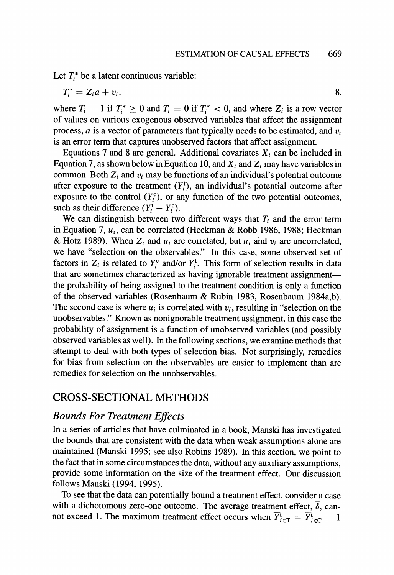Let  $T_i^*$  be a latent continuous variable:

$$
T_i^* = Z_i a + v_i, \qquad \qquad 8.
$$

where  $T_i = 1$  if  $T_i^* \ge 0$  and  $T_i = 0$  if  $T_i^* < 0$ , and where  $Z_i$  is a row vector **of values on various exogenous observed variables that affect the assignment**  process,  $\alpha$  is a vector of parameters that typically needs to be estimated, and  $v_i$ **is an error term that captures unobserved factors that affect assignment.** 

Equations 7 and 8 are general. Additional covariates  $X_i$  can be included in **Equation 7, as shown below in Equation 10, and**  $X_i$  **and**  $Z_i$  **may have variables in** common. Both  $Z_i$  and  $v_i$  may be functions of an individual's potential outcome after exposure to the treatment  $(Y_i^t)$ , an individual's potential outcome after exposure to the control  $(Y_i^c)$ , or any function of the two potential outcomes, such as their difference  $(Y_i^t - Y_i^c)$ .

We can distinguish between two different ways that  $T_i$  and the error term in Equation 7,  $u_i$ , can be correlated (Heckman & Robb 1986, 1988; Heckman & Hotz 1989). When  $Z_i$  and  $u_i$  are correlated, but  $u_i$  and  $v_i$  are uncorrelated, **we have "selection on the observables." In this case, some observed set of**  factors in  $Z_i$  is related to  $Y_i^c$  and/or  $Y_i^t$ . This form of selection results in data **that are sometimes characterized as having ignorable treatment assignmentthe probability of being assigned to the treatment condition is only a function of the observed variables (Rosenbaum & Rubin 1983, Rosenbaum 1984a,b).**  The second case is where  $u_i$  is correlated with  $v_i$ , resulting in "selection on the **unobservables." Known as nonignorable treatment assignment, in this case the probability of assignment is a function of unobserved variables (and possibly observed variables as well). In the following sections, we examine methods that attempt to deal with both types of selection bias. Not surprisingly, remedies for bias from selection on the observables are easier to implement than are remedies for selection on the unobservables.** 

## **CROSS-SECTIONAL METHODS**

## **Bounds For Treatment Effects**

**In a series of articles that have culminated in a book, Manski has investigated the bounds that are consistent with the data when weak assumptions alone are maintained (Manski 1995; see also Robins 1989). In this section, we point to the fact that in some circumstances the data, without any auxiliary assumptions, provide some information on the size of the treatment effect. Our discussion follows Manski (1994, 1995).** 

**To see that the data can potentially bound a treatment effect, consider a case**  with a dichotomous zero-one outcome. The average treatment effect,  $\overline{\delta}$ , cannot exceed 1. The maximum treatment effect occurs when  $\overline{Y}_{i\in\mathcal{T}}^t = \overline{Y}_{i\in\mathcal{C}}^t = 1$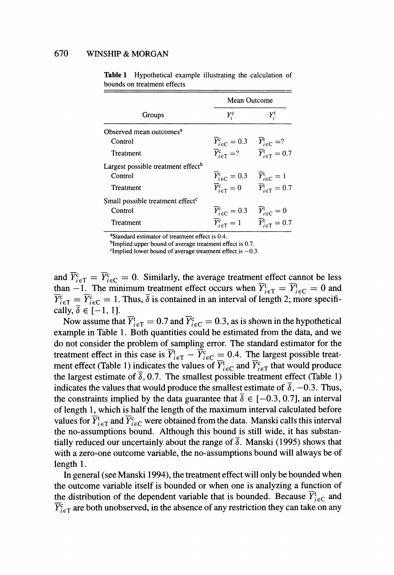| Groups                                                    | <b>Mean Outcome</b>                                                                                                |                                              |
|-----------------------------------------------------------|--------------------------------------------------------------------------------------------------------------------|----------------------------------------------|
|                                                           | Y.                                                                                                                 | Y!                                           |
| Observed mean outcomes <sup>a</sup>                       |                                                                                                                    |                                              |
| Control                                                   | $\overline{Y}_{i\in\text{C}}^{\text{c}}=0.3$ $\overline{Y}_{i\in\text{C}}^{\text{t}}=?$                            |                                              |
| Treatment                                                 | $\overline{Y}_{i\epsilon\mathbf{T}}^{\mathsf{c}} = ? \qquad \overline{Y}_{i\epsilon\mathbf{T}}^{\mathsf{t}} = 0.7$ |                                              |
| Largest possible treatment effect <sup>b</sup><br>Control | $\overline{Y}_{i\in\text{C}}^{\text{c}}=0.3$ $\overline{Y}_{i\in\text{C}}^{\text{t}}=1$                            |                                              |
| Treatment                                                 | $\overline{Y}_{i\epsilon\mathbf{T}}^{\mathsf{c}}=0$                                                                | $\overline{Y}_{i\epsilon T}^t = 0.7$         |
| Small possible treatment effect <sup>c</sup>              |                                                                                                                    |                                              |
| Control                                                   | $\overline{Y}_{i\in\mathbb{C}}^{\mathsf{c}}=0.3\qquad \overline{Y}_{i\in\mathbb{C}}^{\mathsf{t}}=0$                |                                              |
| Treatment                                                 | $\overline{Y}_{i\in\mathcal{T}}^{\mathsf{c}}=1$                                                                    | $\overline{Y}_{i\in\text{T}}^{\text{t}}=0.7$ |

**Table 1 Hypothetical example illustrating the calculation of bounds on treatment effects** 

**aStandard estimator of treatment effect is 0.4.** 

**bImplied upper bound of average treatment effect is 0.7.** 

<sup>c</sup>Implied lower bound of average treatment effect is  $-0.3$ .

and  $Y_{i \in \mathcal{T}}^c = Y_{i \in \mathcal{C}}^c = 0$ . Similarly, the average treatment effect cannot be less **than**  $-1$ . The minimum treatment effect occurs when  $Y_{i \in \mathcal{T}}^t = Y_{i \in \mathcal{C}}^t = 0$  and  $Y_{i\in\mathbb{C}}^{\mathbb{C}} = 1$ . Thus,  $\delta$  is contained in an interval of length 2; more specifically,  $\overline{\delta} \in [-1, 1]$ .

Now assume that  $\overline{Y}_{i\in\Gamma}^t = 0.7$  and  $\overline{Y}_{i\in\Gamma}^c = 0.3$ , as is shown in the hypothetical **example in Table 1. Both quantities could be estimated from the data, and we do not consider the problem of sampling error. The standard estimator for the**  treatment effect in this case is  $\overline{Y}_{i\in\text{T}}^t - Y_{i\in\text{C}}^c = 0.4$ . The largest possible treat**ment effect (Table 1) indicates the values of**  $Y_{i\in\mathbb{C}}^{\mathsf{t}}$  **and**  $Y_{i\in\mathbb{T}}^{\mathsf{c}}$  **that would produce** the largest estimate of  $\overline{\delta}$ , 0.7. The smallest possible treatment effect (Table 1) indicates the values that would produce the smallest estimate of  $\overline{\delta}$ , -0.3. Thus, the constraints implied by the data guarantee that  $\overline{\delta} \in [-0.3, 0.7]$ , an interval **of length 1, which is half the length of the maximum interval calculated before**  values for  $\overline{Y}_{i\in\Gamma}^t$  and  $\overline{Y}_{i\in\Gamma}^c$  were obtained from the data. Manski calls this interval **the no-assumptions bound. Although this bound is still wide, it has substan**tially reduced our uncertainly about the range of  $\overline{\delta}$ . Manski (1995) shows that **with a zero-one outcome variable, the no-assumptions bound will always be of length 1.** 

**In general (see Manski 1994), the treatment effect will only be bounded when the outcome variable itself is bounded or when one is analyzing a function of**  the distribution of the dependent variable that is bounded. Because  $\overline{Y}_{i}^t$  and  $\overline{Y}_{i\in\mathbb{T}}^{c}$  are both unobserved, in the absence of any restriction they can take on any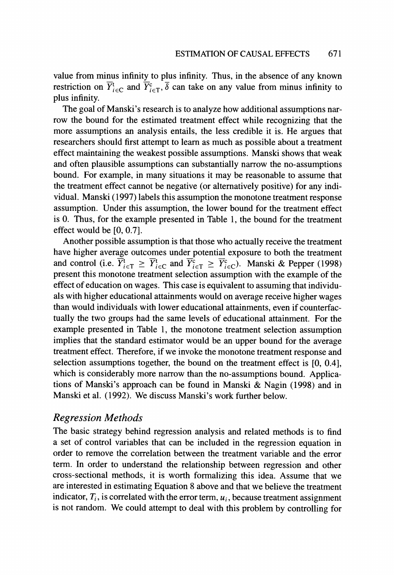**value from minus infinity to plus infinity. Thus, in the absence of any known restriction on**  $\overline{Y}_{i\in\mathbb{C}}^{\mathsf{t}}$  **and**  $\overline{Y}_{i\in\mathbb{T}}^{\mathsf{c}}$ **,**  $\overline{\delta}$  **can take on any value from minus infinity to plus infinity.** 

**The goal of Manski's research is to analyze how additional assumptions narrow the bound for the estimated treatment effect while recognizing that the more assumptions an analysis entails, the less credible it is. He argues that researchers should first attempt to learn as much as possible about a treatment effect maintaining the weakest possible assumptions. Manski shows that weak and often plausible assumptions can substantially narrow the no-assumptions bound. For example, in many situations it may be reasonable to assume that the treatment effect cannot be negative (or alternatively positive) for any individual. Manski (1997) labels this assumption the monotone treatment response assumption. Under this assumption, the lower bound for the treatment effect is 0. Thus, for the example presented in Table 1, the bound for the treatment effect would be [0, 0.7].** 

**Another possible assumption is that those who actually receive the treatment have higher average outcomes under potential exposure to both the treatment**  and control (i.e.  $\overline{Y}_{i \in \mathcal{T}}^t \geq \overline{Y}_{i \in \mathcal{C}}^t$  and  $\overline{Y}_{i \in \mathcal{T}}^c \geq \overline{Y}_{i \in \mathcal{C}}^c$ ). Manski & Pepper (1998) **present this monotone treatment selection assumption with the example of the effect of education on wages. This case is equivalent to assuming that individuals with higher educational attainments would on average receive higher wages than would individuals with lower educational attainments, even if counterfactually the two groups had the same levels of educational attainment. For the example presented in Table 1, the monotone treatment selection assumption implies that the standard estimator would be an upper bound for the average treatment effect. Therefore, if we invoke the monotone treatment response and selection assumptions together, the bound on the treatment effect is [0, 0.4], which is considerably more narrow than the no-assumptions bound. Applications of Manski's approach can be found in Manski & Nagin (1998) and in Manski et al. (1992). We discuss Manski's work further below.** 

## **Regression Methods**

**The basic strategy behind regression analysis and related methods is to find a set of control variables that can be included in the regression equation in order to remove the correlation between the treatment variable and the error term. In order to understand the relationship between regression and other cross-sectional methods, it is worth formalizing this idea. Assume that we are interested in estimating Equation 8 above and that we believe the treatment**  indicator,  $T_i$ , is correlated with the error term,  $u_i$ , because treatment assignment **is not random. We could attempt to deal with this problem by controlling for**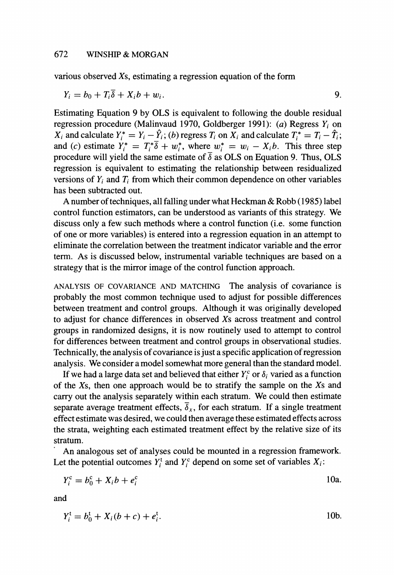**various observed Xs, estimating a regression equation of the form** 

$$
Y_i = b_0 + T_i \overline{\delta} + X_i b + w_i.
$$

**Estimating Equation 9 by OLS is equivalent to following the double residual regression procedure (Malinvaud 1970, Goldberger 1991): (a) Regress**  $Y_i$  **on**  $X_i$  and calculate  $Y_i^* = Y_i - \hat{Y}_i$ ; (b) regress  $T_i$  on  $X_i$  and calculate  $T_i^* = T_i - \hat{T}_i$ ; and (c) estimate  $Y_i^* = T_i^* \overline{\delta} + w_i^*$ , where  $w_i^* = w_i - X_i b$ . This three step procedure will yield the same estimate of  $\overline{\delta}$  as OLS on Equation 9. Thus, OLS **regression is equivalent to estimating the relationship between residualized**  versions of  $Y_i$  and  $T_i$  from which their common dependence on other variables **has been subtracted out.** 

**A number of techniques, all falling under what Heckman & Robb (1985) label control function estimators, can be understood as variants of this strategy. We discuss only a few such methods where a control function (i.e. some function of one or more variables) is entered into a regression equation in an attempt to eliminate the correlation between the treatment indicator variable and the error term. As is discussed below, instrumental variable techniques are based on a strategy that is the mirror image of the control function approach.** 

**ANALYSIS OF COVARIANCE AND MATCHING The analysis of covariance is probably the most common technique used to adjust for possible differences between treatment and control groups. Although it was originally developed to adjust for chance differences in observed Xs across treatment and control groups in randomized designs, it is now routinely used to attempt to control for differences between treatment and control groups in observational studies. Technically, the analysis of covariance is just a specific application of regression analysis. We consider a model somewhat more general than the standard model.** 

If we had a large data set and believed that either  $Y_i^c$  or  $\delta_i$  varied as a function **of the Xs, then one approach would be to stratify the sample on the Xs and carry out the analysis separately within each stratum. We could then estimate**  separate average treatment effects,  $\overline{\delta}_x$ , for each stratum. If a single treatment **effect estimate was desired, we could then average these estimated effects across the strata, weighting each estimated treatment effect by the relative size of its stratum.** 

**An analogous set of analyses could be mounted in a regression framework.**  Let the potential outcomes  $Y_i^t$  and  $Y_i^c$  depend on some set of variables  $X_i$ :

$$
Y_i^c = b_0^c + X_i b + e_i^c
$$
 10a.

**and** 

$$
Y_i^t = b_0^t + X_i(b + c) + e_i^t.
$$
 10b.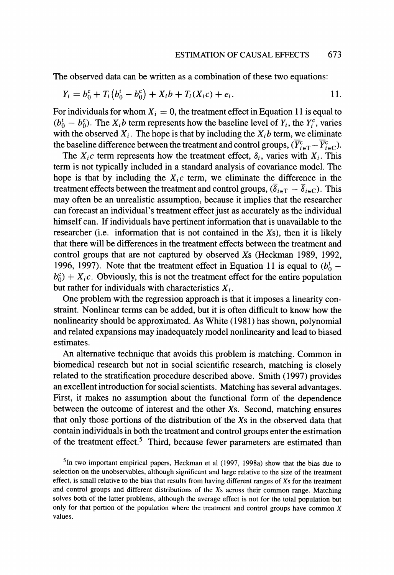**The observed data can be written as a combination of these two equations:** 

$$
Y_i = b_0^c + T_i(b_0^t - b_0^c) + X_i b + T_i(X_i c) + e_i.
$$

For individuals for whom  $X_i = 0$ , the treatment effect in Equation 11 is equal to  $(b_0^t - b_0^c)$ . The  $X_i b$  term represents how the baseline level of  $Y_i$ , the  $Y_i^c$ , varies with the observed  $X_i$ . The hope is that by including the  $X_i$  b term, we eliminate the baseline difference between the treatment and control groups,  $(\overline{Y}_{i\in\Gamma}^c - \overline{Y}_{i\in\Gamma}^c)$ .

The  $X_i$ c term represents how the treatment effect,  $\delta_i$ , varies with  $X_i$ . This **term is not typically included in a standard analysis of covariance model. The**  hope is that by including the  $X_i$ c term, we eliminate the difference in the **treatment effects between the treatment and control groups,**  $(\overline{\delta}_{i \in T} - \overline{\delta}_{i \in C})$ **. This may often be an unrealistic assumption, because it implies that the researcher can forecast an individual's treatment effect just as accurately as the individual himself can. If individuals have pertinent information that is unavailable to the researcher (i.e. information that is not contained in the Xs), then it is likely that there will be differences in the treatment effects between the treatment and control groups that are not captured by observed Xs (Heckman 1989, 1992,**  1996, 1997). Note that the treatment effect in Equation 11 is equal to  $(b_0^t$  $b_0^c$  +  $X_i$ *c*. Obviously, this is not the treatment effect for the entire population but rather for individuals with characteristics  $X_i$ .

**One problem with the regression approach is that it imposes a linearity constraint. Nonlinear terms can be added, but it is often difficult to know how the nonlinearity should be approximated. As White (1981) has shown, polynomial and related expansions may inadequately model nonlinearity and lead to biased estimates.** 

**An alternative technique that avoids this problem is matching. Common in biomedical research but not in social scientific research, matching is closely related to the stratification procedure described above. Smith (1997) provides an excellent introduction for social scientists. Matching has several advantages. First, it makes no assumption about the functional form of the dependence between the outcome of interest and the other Xs. Second, matching ensures that only those portions of the distribution of the Xs in the observed data that contain individuals in both the treatment and control groups enter the estimation of the treatment effect.5 Third, because fewer parameters are estimated than** 

<sup>5</sup>In two important empirical papers, Heckman et al (1997, 1998a) show that the bias due to **selection on the unobservables, although significant and large relative to the size of the treatment effect, is small relative to the bias that results from having different ranges of Xs for the treatment and control groups and different distributions of the Xs across their common range. Matching solves both of the latter problems, although the average effect is not for the total population but only for that portion of the population where the treatment and control groups have common X values.**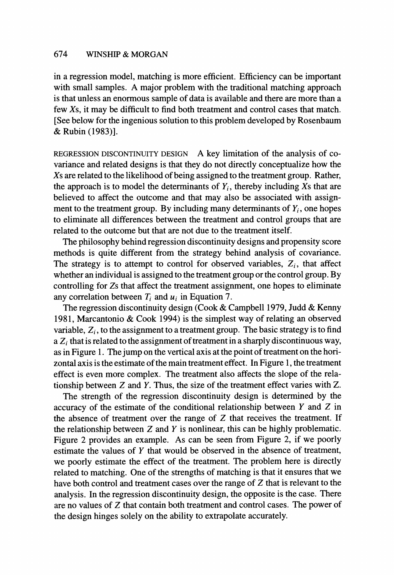**in a regression model, matching is more efficient. Efficiency can be important with small samples. A major problem with the traditional matching approach is that unless an enormous sample of data is available and there are more than a few Xs, it may be difficult to find both treatment and control cases that match. [See below for the ingenious solution to this problem developed by Rosenbaum & Rubin (1983)].** 

**REGRESSION DISCONTINUITY DESIGN A key limitation of the analysis of covariance and related designs is that they do not directly conceptualize how the Xs are related to the likelihood of being assigned to the treatment group. Rather,**  the approach is to model the determinants of  $Y_i$ , thereby including  $X_s$  that are **believed to affect the outcome and that may also be associated with assign**ment to the treatment group. By including many determinants of  $Y_i$ , one hopes **to eliminate all differences between the treatment and control groups that are related to the outcome but that are not due to the treatment itself.** 

**The philosophy behind regression discontinuity designs and propensity score methods is quite different from the strategy behind analysis of covariance.**  The strategy is to attempt to control for observed variables,  $Z_i$ , that affect **whether an individual is assigned to the treatment group or the control group. By controlling for Zs that affect the treatment assignment, one hopes to eliminate**  any correlation between  $T_i$  and  $u_i$  in Equation 7.

**The regression discontinuity design (Cook & Campbell 1979, Judd & Kenny 1981, Marcantonio & Cook 1994) is the simplest way of relating an observed**  variable,  $Z_i$ , to the assignment to a treatment group. The basic strategy is to find  $a Z_i$  that is related to the assignment of treatment in a sharply discontinuous way, **as in Figure 1. The jump on the vertical axis at the point of treatment on the horizontal axis is the estimate of the main treatment effect. In Figure 1, the treatment effect is even more complex. The treatment also affects the slope of the relationship between Z and Y. Thus, the size of the treatment effect varies with Z.** 

**The strength of the regression discontinuity design is determined by the accuracy of the estimate of the conditional relationship between Y and Z in the absence of treatment over the range of Z that receives the treatment. If the relationship between Z and Y is nonlinear, this can be highly problematic. Figure 2 provides an example. As can be seen from Figure 2, if we poorly estimate the values of Y that would be observed in the absence of treatment, we poorly estimate the effect of the treatment. The problem here is directly related to matching. One of the strengths of matching is that it ensures that we have both control and treatment cases over the range of Z that is relevant to the analysis. In the regression discontinuity design, the opposite is the case. There are no values of Z that contain both treatment and control cases. The power of the design hinges solely on the ability to extrapolate accurately.**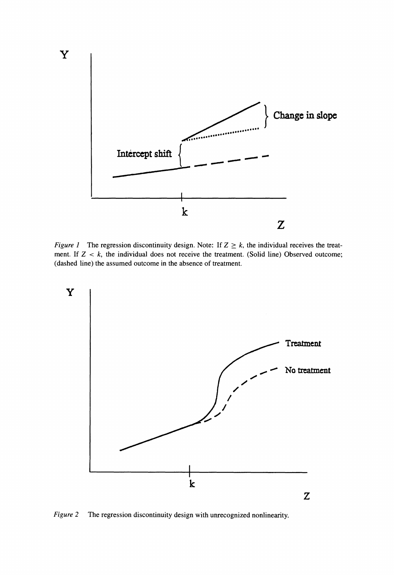

Figure 1 The regression discontinuity design. Note: If  $Z \ge k$ , the individual receives the treatment. If  $Z < k$ , the individual does not receive the treatment. (Solid line) Observed outcome; **(dashed line) the assumed outcome in the absence of treatment.** 



**Figure 2 The regression discontinuity design with unrecognized nonlinearity.**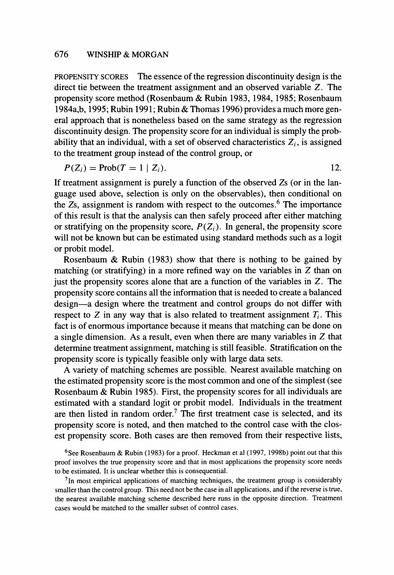**PROPENSITY SCORES The essence of the regression discontinuity design is the direct tie between the treatment assignment and an observed variable Z. The propensity score method (Rosenbaum & Rubin 1983, 1984, 1985; Rosenbaum 1984a,b, 1995; Rubin 1991; Rubin & Thomas 1996) provides a much more general approach that is nonetheless based on the same strategy as the regression discontinuity design. The propensity score for an individual is simply the prob**ability that an individual, with a set of observed characteristics  $Z_i$ , is assigned **to the treatment group instead of the control group, or** 

$$
P(Z_i) = \text{Prob}(T = 1 | Z_i). \tag{12}
$$

**If treatment assignment is purely a function of the observed Zs (or in the language used above, selection is only on the observables), then conditional on the Zs, assignment is random with respect to the outcomes.6 The importance of this result is that the analysis can then safely proceed after either matching**  or stratifying on the propensity score,  $P(Z_i)$ . In general, the propensity score **will not be known but can be estimated using standard methods such as a logit or probit model.** 

**Rosenbaum & Rubin (1983) show that there is nothing to be gained by matching (or stratifying) in a more refined way on the variables in Z than on just the propensity scores alone that are a function of the variables in Z. The propensity score contains all the information that is needed to create a balanced design-a design where the treatment and control groups do not differ with**  respect to  $Z$  in any way that is also related to treatment assignment  $T_i$ . This **fact is of enormous importance because it means that matching can be done on a single dimension. As a result, even when there are many variables in Z that determine treatment assignment, matching is still feasible. Stratification on the propensity score is typically feasible only with large data sets.** 

**A variety of matching schemes are possible. Nearest available matching on the estimated propensity score is the most common and one of the simplest (see Rosenbaum & Rubin 1985). First, the propensity scores for all individuals are estimated with a standard logit or probit model. Individuals in the treatment are then listed in random order.7 The first treatment case is selected, and its propensity score is noted, and then matched to the control case with the closest propensity score. Both cases are then removed from their respective lists,** 

**6See Rosenbaum & Rubin (1983) for a proof. Heckman et al (1997, 1998b) point out that this proof involves the true propensity score and that in most applications the propensity score needs to be estimated. It is unclear whether this is consequential.** 

**7In most empirical applications of matching techniques, the treatment group is considerably smaller than the control group. This need not be the case in all applications, and if the reverse is true, the nearest available matching scheme described here runs in the opposite direction. Treatment cases would be matched to the smaller subset of control cases.**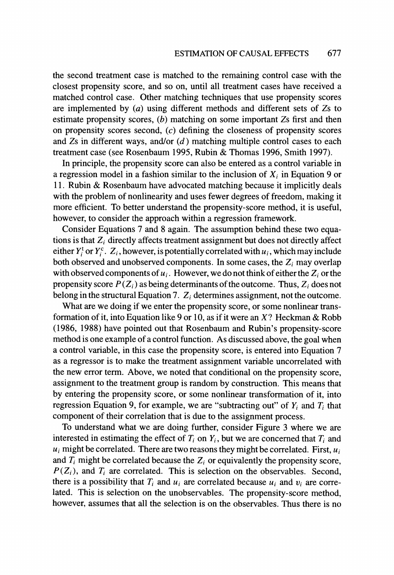**the second treatment case is matched to the remaining control case with the closest propensity score, and so on, until all treatment cases have received a matched control case. Other matching techniques that use propensity scores are implemented by (a) using different methods and different sets of Zs to estimate propensity scores, (b) matching on some important Zs first and then on propensity scores second, (c) defining the closeness of propensity scores and Zs in different ways, and/or (d) matching multiple control cases to each treatment case (see Rosenbaum 1995, Rubin & Thomas 1996, Smith 1997).** 

**In principle, the propensity score can also be entered as a control variable in**  a regression model in a fashion similar to the inclusion of  $X_i$  in Equation 9 or **11. Rubin & Rosenbaum have advocated matching because it implicitly deals with the problem of nonlinearity and uses fewer degrees of freedom, making it more efficient. To better understand the propensity-score method, it is useful, however, to consider the approach within a regression framework.** 

**Consider Equations 7 and 8 again. The assumption behind these two equations is that Zi directly affects treatment assignment but does not directly affect**  either  $Y_i^t$  or  $Y_i^c$ .  $Z_i$ , however, is potentially correlated with  $u_i$ , which may include both observed and unobserved components. In some cases, the  $Z_i$  may overlap with observed components of  $u_i$ . However, we do not think of either the  $Z_i$  or the propensity score  $P(Z_i)$  as being determinants of the outcome. Thus,  $Z_i$  does not belong in the structural Equation 7.  $Z_i$  determines assignment, not the outcome.

**What are we doing if we enter the propensity score, or some nonlinear transformation of it, into Equation like 9 or 10, as if it were an X? Heckman & Robb (1986, 1988) have pointed out that Rosenbaum and Rubin's propensity-score method is one example of a control function. As discussed above, the goal when a control variable, in this case the propensity score, is entered into Equation 7 as a regressor is to make the treatment assignment variable uncorrelated with the new error term. Above, we noted that conditional on the propensity score, assignment to the treatment group is random by construction. This means that by entering the propensity score, or some nonlinear transformation of it, into regression Equation 9, for example, we are "subtracting out" of**  $Y_i$  **and**  $T_i$  **that component of their correlation that is due to the assignment process.** 

**To understand what we are doing further, consider Figure 3 where we are**  interested in estimating the effect of  $T_i$  on  $Y_i$ , but we are concerned that  $T_i$  and  $u_i$  might be correlated. There are two reasons they might be correlated. First,  $u_i$ and  $T_i$  might be correlated because the  $Z_i$  or equivalently the propensity score,  $P(Z_i)$ , and  $T_i$  are correlated. This is selection on the observables. Second, there is a possibility that  $T_i$  and  $u_i$  are correlated because  $u_i$  and  $v_i$  are corre**lated. This is selection on the unobservables. The propensity-score method, however, assumes that all the selection is on the observables. Thus there is no**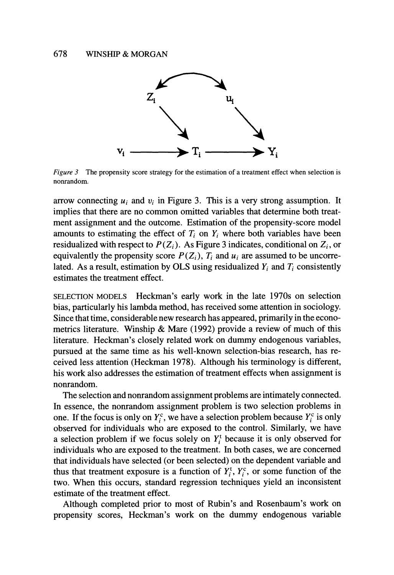

Figure 3 The propensity score strategy for the estimation of a treatment effect when selection is **nonrandom.** 

arrow connecting  $u_i$  and  $v_i$  in Figure 3. This is a very strong assumption. It **implies that there are no common omitted variables that determine both treatment assignment and the outcome. Estimation of the propensity-score model**  amounts to estimating the effect of  $T_i$  on  $Y_i$  where both variables have been residualized with respect to  $P(Z_i)$ . As Figure 3 indicates, conditional on  $Z_i$ , or equivalently the propensity score  $P(Z_i)$ ,  $T_i$  and  $u_i$  are assumed to be uncorrelated. As a result, estimation by OLS using residualized  $Y_i$  and  $T_i$  consistently **estimates the treatment effect.** 

**SELECTION MODELS Heckman's early work in the late 1970s on selection bias, particularly his lambda method, has received some attention in sociology. Since that time, considerable new research has appeared, primarily in the econometrics literature. Winship & Mare (1992) provide a review of much of this literature. Heckman's closely related work on dummy endogenous variables, pursued at the same time as his well-known selection-bias research, has received less attention (Heckman 1978). Although his terminology is different, his work also addresses the estimation of treatment effects when assignment is nonrandom.** 

**The selection and nonrandom assignment problems are intimately connected. In essence, the nonrandom assignment problem is two selection problems in**  one. If the focus is only on  $Y_i^c$ , we have a selection problem because  $Y_i^c$  is only **observed for individuals who are exposed to the control. Similarly, we have**  a selection problem if we focus solely on  $Y_i^t$  because it is only observed for **individuals who are exposed to the treatment. In both cases, we are concerned that individuals have selected (or been selected) on the dependent variable and**  thus that treatment exposure is a function of  $Y_i^t$ ,  $Y_i^c$ , or some function of the **two. When this occurs, standard regression techniques yield an inconsistent estimate of the treatment effect.** 

**Although completed prior to most of Rubin's and Rosenbaum's work on propensity scores, Heckman's work on the dummy endogenous variable**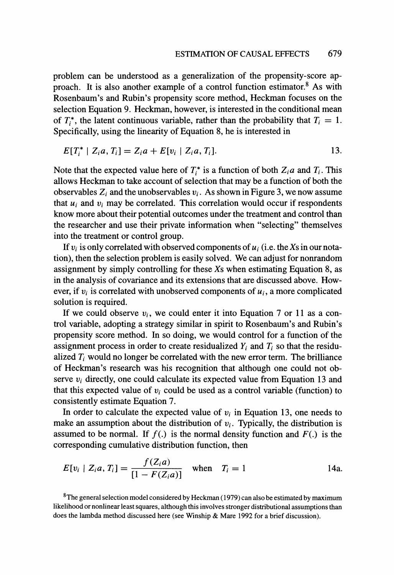**problem can be understood as a generalization of the propensity-score approach. It is also another example of a control function estimator.8 As with Rosenbaum's and Rubin's propensity score method, Heckman focuses on the selection Equation 9. Heckman, however, is interested in the conditional mean**  of  $T_i^*$ , the latent continuous variable, rather than the probability that  $T_i = 1$ . **Specifically, using the linearity of Equation 8, he is interested in** 

$$
E[T_i^* \mid Z_i a, T_i] = Z_i a + E[v_i \mid Z_i a, T_i].
$$

Note that the expected value here of  $T_i^*$  is a function of both  $Z_i a$  and  $T_i$ . This **allows Heckman to take account of selection that may be a function of both the**  observables  $Z_i$  and the unobservables  $v_i$ . As shown in Figure 3, we now assume that  $u_i$  and  $v_i$  may be correlated. This correlation would occur if respondents **know more about their potential outcomes under the treatment and control than the researcher and use their private information when "selecting" themselves into the treatment or control group.** 

If  $v_i$  is only correlated with observed components of  $u_i$  (i.e. the Xs in our nota**tion), then the selection problem is easily solved. We can adjust for nonrandom assignment by simply controlling for these Xs when estimating Equation 8, as in the analysis of covariance and its extensions that are discussed above. How**ever, if  $v_i$  is correlated with unobserved components of  $u_i$ , a more complicated **solution is required.** 

If we could observe  $v_i$ , we could enter it into Equation 7 or 11 as a con**trol variable, adopting a strategy similar in spirit to Rosenbaum's and Rubin's propensity score method. In so doing, we would control for a function of the**  assignment process in order to create residualized  $Y_i$  and  $T_i$  so that the residualized  $T_i$  would no longer be correlated with the new error term. The brilliance **of Heckman's research was his recognition that although one could not ob**serve  $v_i$  directly, one could calculate its expected value from Equation 13 and that this expected value of  $v_i$  could be used as a control variable (function) to **consistently estimate Equation 7.** 

In order to calculate the expected value of  $v_i$  in Equation 13, one needs to make an assumption about the distribution of  $v_i$ . Typically, the distribution is assumed to be normal. If  $f(.)$  is the normal density function and  $F(.)$  is the **corresponding cumulative distribution function, then** 

$$
E[v_i | Z_i a, T_i] = \frac{f(Z_i a)}{[1 - F(Z_i a)]} \text{ when } T_i = 1
$$
 14a.

**8The general selection model considered by Heckman (1979) can also be estimated by maximum likelihood or nonlinear least squares, although this involves stronger distributional assumptions than does the lambda method discussed here (see Winship & Mare 1992 for a brief discussion).**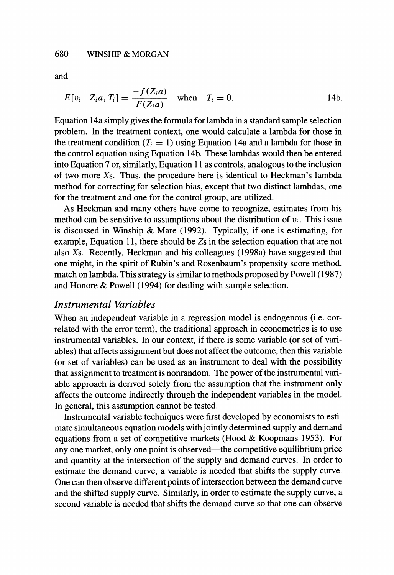**and** 

$$
E[v_i \mid Z_i a, T_i] = \frac{-f(Z_i a)}{F(Z_i a)} \quad \text{when} \quad T_i = 0. \tag{14b.}
$$

**Equation 14a simply gives the formula for lambda in a standard sample selection problem. In the treatment context, one would calculate a lambda for those in**  the treatment condition  $(T<sub>i</sub> = 1)$  using Equation 14a and a lambda for those in **the control equation using Equation 14b. These lambdas would then be entered into Equation 7 or, similarly, Equation 11 as controls, analogous to the inclusion of two more Xs. Thus, the procedure here is identical to Heckman's lambda method for correcting for selection bias, except that two distinct lambdas, one for the treatment and one for the control group, are utilized.** 

**As Heckman and many others have come to recognize, estimates from his**  method can be sensitive to assumptions about the distribution of  $v_i$ . This issue **is discussed in Winship & Mare (1992). Typically, if one is estimating, for example, Equation 11, there should be Zs in the selection equation that are not also Xs. Recently, Heckman and his colleagues (1998a) have suggested that one might, in the spirit of Rubin's and Rosenbaum's propensity score method, match on lambda. This strategy is similar to methods proposed by Powell (1987) and Honore & Powell (1994) for dealing with sample selection.** 

#### **Instrumental Variables**

**When an independent variable in a regression model is endogenous (i.e. correlated with the error term), the traditional approach in econometrics is to use instrumental variables. In our context, if there is some variable (or set of variables) that affects assignment but does not affect the outcome, then this variable (or set of variables) can be used as an instrument to deal with the possibility that assignment to treatment is nonrandom. The power of the instrumental variable approach is derived solely from the assumption that the instrument only affects the outcome indirectly through the independent variables in the model. In general, this assumption cannot be tested.** 

**Instrumental variable techniques were first developed by economists to estimate simultaneous equation models with jointly determined supply and demand equations from a set of competitive markets (Hood & Koopmans 1953). For**  any one market, only one point is observed—the competitive equilibrium price **and quantity at the intersection of the supply and demand curves. In order to estimate the demand curve, a variable is needed that shifts the supply curve. One can then observe different points of intersection between the demand curve and the shifted supply curve. Similarly, in order to estimate the supply curve, a second variable is needed that shifts the demand curve so that one can observe**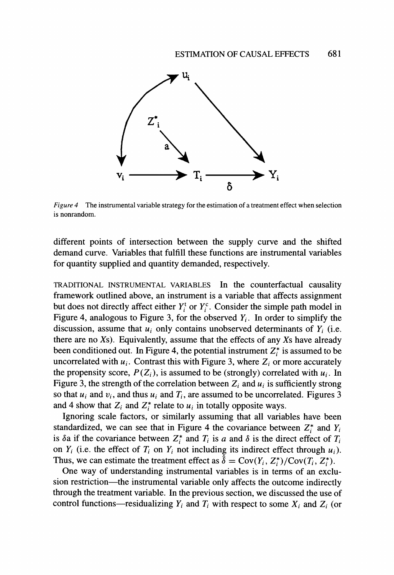

**Figure 4 The instrumental variable strategy for the estimation of a treatment effect when selection is nonrandom.** 

**different points of intersection between the supply curve and the shifted demand curve. Variables that fulfill these functions are instrumental variables for quantity supplied and quantity demanded, respectively.** 

**TRADITIONAL INSTRUMENTAL VARIABLES In the counterfactual causality framework outlined above, an instrument is a variable that affects assignment**  but does not directly affect either  $Y_i^t$  or  $Y_j^c$ . Consider the simple path model in Figure 4, analogous to Figure 3, for the observed  $Y_i$ . In order to simplify the discussion, assume that  $u_i$  only contains unobserved determinants of  $Y_i$  (i.e. **there are no Xs). Equivalently, assume that the effects of any Xs have already**  been conditioned out. In Figure 4, the potential instrument  $Z_i^*$  is assumed to be uncorrelated with  $u_i$ . Contrast this with Figure 3, where  $Z_i$  or more accurately the propensity score,  $P(Z_i)$ , is assumed to be (strongly) correlated with  $u_i$ . In Figure 3, the strength of the correlation between  $Z_i$  and  $u_i$  is sufficiently strong so that  $u_i$  and  $v_i$ , and thus  $u_i$  and  $T_i$ , are assumed to be uncorrelated. Figures 3 and 4 show that  $Z_i$  and  $Z_i^*$  relate to  $u_i$  in totally opposite ways.

**Ignoring scale factors, or similarly assuming that all variables have been**  standardized, we can see that in Figure 4 the covariance between  $Z_i^*$  and  $Y_i$ is  $\delta$  a if the covariance between  $Z_i^*$  and  $T_i$  is a and  $\delta$  is the direct effect of  $T_i$ on  $Y_i$  (i.e. the effect of  $T_i$  on  $Y_i$  not including its indirect effect through  $u_i$ ). Thus, we can estimate the treatment effect as  $\hat{\delta} = \text{Cov}(Y_i, Z_i^*) / \text{Cov}(T_i, Z_i^*)$ .

**One way of understanding instrumental variables is in terms of an exclusion restriction-the instrumental variable only affects the outcome indirectly through the treatment variable. In the previous section, we discussed the use of**  control functions—residualizing  $Y_i$  and  $T_i$  with respect to some  $X_i$  and  $Z_i$  (or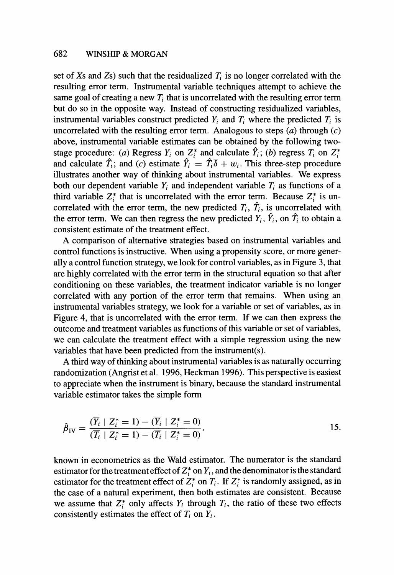set of Xs and Zs) such that the residualized  $T_i$  is no longer correlated with the **resulting error term. Instrumental variable techniques attempt to achieve the**  same goal of creating a new  $T_i$  that is uncorrelated with the resulting error term **but do so in the opposite way. Instead of constructing residualized variables,**  instrumental variables construct predicted  $Y_i$  and  $T_i$  where the predicted  $T_i$  is **uncorrelated with the resulting error term. Analogous to steps (a) through (c) above, instrumental variable estimates can be obtained by the following two**stage procedure: (a) Regress  $Y_i$  on  $Z_i^*$  and calculate  $\hat{Y}_i$ ; (b) regress  $T_i$  on  $Z_i^*$ and calculate  $\hat{T}_i$ ; and (c) estimate  $\hat{Y}_i = \hat{T}_i \overline{\delta} + w_i$ . This three-step procedure **illustrates another way of thinking about instrumental variables. We express**  both our dependent variable  $Y_i$  and independent variable  $T_i$  as functions of a third variable  $Z_i^*$  that is uncorrelated with the error term. Because  $Z_i^*$  is uncorrelated with the error term, the new predicted  $T_i$ ,  $\hat{T}_i$ , is uncorrelated with the error term. We can then regress the new predicted  $Y_i$ ,  $\hat{Y}_i$ , on  $\hat{T}_i$  to obtain a **consistent estimate of the treatment effect.** 

**A comparison of alternative strategies based on instrumental variables and control functions is instructive. When using a propensity score, or more generally a control function strategy, we look for control variables, as in Figure 3, that are highly correlated with the error term in the structural equation so that after conditioning on these variables, the treatment indicator variable is no longer correlated with any portion of the error term that remains. When using an instrumental variables strategy, we look for a variable or set of variables, as in Figure 4, that is uncorrelated with the error term. If we can then express the outcome and treatment variables as functions of this variable or set of variables, we can calculate the treatment effect with a simple regression using the new variables that have been predicted from the instrument(s).** 

**A third way of thinking about instrumental variables is as naturally occurring randomization (Angrist et al. 1996, Heckman 1996). This perspective is easiest to appreciate when the instrument is binary, because the standard instrumental variable estimator takes the simple form** 

$$
\hat{\beta}_{IV} = \frac{(\overline{Y}_i \mid Z_i^* = 1) - (\overline{Y}_i \mid Z_i^* = 0)}{(\overline{T}_i \mid Z_i^* = 1) - (\overline{T}_i \mid Z_i^* = 0)}.
$$
 15.

**known in econometrics as the Wald estimator. The numerator is the standard**  estimator for the treatment effect of  $Z_i^*$  on  $Y_i$ , and the denominator is the standard estimator for the treatment effect of  $Z_i^*$  on  $T_i$ . If  $Z_i^*$  is randomly assigned, as in **the case of a natural experiment, then both estimates are consistent. Because**  we assume that  $Z_i^*$  only affects  $Y_i$  through  $T_i$ , the ratio of these two effects consistently estimates the effect of  $T_i$  on  $Y_i$ .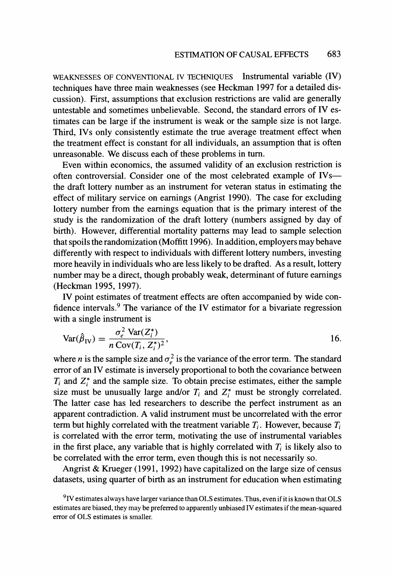WEAKNESSES OF CONVENTIONAL IV TECHNIQUES Instrumental variable (IV) **techniques have three main weaknesses (see Heckman 1997 for a detailed discussion). First, assumptions that exclusion restrictions are valid are generally untestable and sometimes unbelievable. Second, the standard errors of IV estimates can be large if the instrument is weak or the sample size is not large. Third, IVs only consistently estimate the true average treatment effect when the treatment effect is constant for all individuals, an assumption that is often unreasonable. We discuss each of these problems in turn.** 

**Even within economics, the assumed validity of an exclusion restriction is often controversial. Consider one of the most celebrated example of IVsthe draft lottery number as an instrument for veteran status in estimating the effect of military service on earnings (Angrist 1990). The case for excluding lottery number from the earnings equation that is the primary interest of the study is the randomization of the draft lottery (numbers assigned by day of birth). However, differential mortality patterns may lead to sample selection that spoils the randomization (Moffitt 1996). In addition, employers may behave differently with respect to individuals with different lottery numbers, investing more heavily in individuals who are less likely to be drafted. As a result, lottery number may be a direct, though probably weak, determinant of future earnings (Heckman 1995, 1997).** 

**IV point estimates of treatment effects are often accompanied by wide confidence intervals.9 The variance of the IV estimator for a bivariate regression with a single instrument is** 

$$
\text{Var}(\hat{\beta}_{\text{IV}}) = \frac{\sigma_e^2 \text{ Var}(Z_i^*)}{n \text{Cov}(T_i, Z_i^*)^2},\tag{16}
$$

where *n* is the sample size and  $\sigma_e^2$  is the variance of the error term. The standard **error of an IV estimate is inversely proportional to both the covariance between**   $T_i$  and  $Z_i^*$  and the sample size. To obtain precise estimates, either the sample size must be unusually large and/or  $T_i$  and  $Z_i^*$  must be strongly correlated. **The latter case has led researchers to describe the perfect instrument as an apparent contradiction. A valid instrument must be uncorrelated with the error**  term but highly correlated with the treatment variable  $T_i$ . However, because  $T_i$ **is correlated with the error term, motivating the use of instrumental variables**  in the first place, any variable that is highly correlated with  $T_i$  is likely also to **be correlated with the error term, even though this is not necessarily so.** 

**Angrist & Krueger (1991, 1992) have capitalized on the large size of census datasets, using quarter of birth as an instrument for education when estimating** 

**<sup>9</sup>IV estimates always have larger variance than OLS estimates. Thus, even if it is known that OLS estimates are biased, they may be preferred to apparently unbiased IV estimates if the mean-squared error of OLS estimates is smaller.**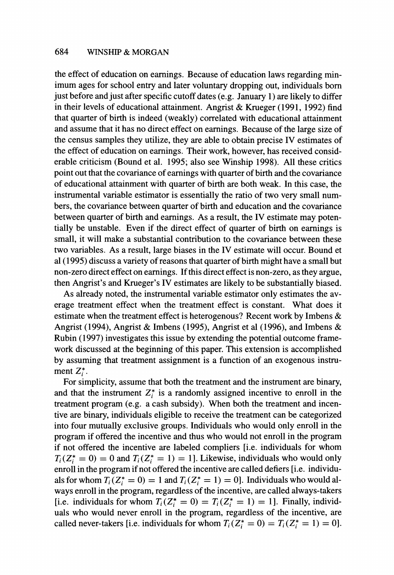**the effect of education on earnings. Because of education laws regarding minimum ages for school entry and later voluntary dropping out, individuals born just before and just after specific cutoff dates (e.g. January 1) are likely to differ in their levels of educational attainment. Angrist & Krueger (1991, 1992) find that quarter of birth is indeed (weakly) correlated with educational attainment and assume that it has no direct effect on earnings. Because of the large size of the census samples they utilize, they are able to obtain precise IV estimates of the effect of education on earnings. Their work, however, has received considerable criticism (Bound et al. 1995; also see Winship 1998). All these critics point out that the covariance of earnings with quarter of birth and the covariance of educational attainment with quarter of birth are both weak. In this case, the instrumental variable estimator is essentially the ratio of two very small numbers, the covariance between quarter of birth and education and the covariance between quarter of birth and earnings. As a result, the IV estimate may potentially be unstable. Even if the direct effect of quarter of birth on earnings is small, it will make a substantial contribution to the covariance between these two variables. As a result, large biases in the IV estimate will occur. Bound et al (1995) discuss a variety of reasons that quarter of birth might have a small but non-zero direct effect on earnings. If this direct effect is non-zero, as they argue, then Angrist's and Krueger's IV estimates are likely to be substantially biased.** 

**As already noted, the instrumental variable estimator only estimates the average treatment effect when the treatment effect is constant. What does it estimate when the treatment effect is heterogenous? Recent work by Imbens & Angrist (1994), Angrist & Imbens (1995), Angrist et al (1996), and Imbens & Rubin (1997) investigates this issue by extending the potential outcome framework discussed at the beginning of this paper. This extension is accomplished by assuming that treatment assignment is a function of an exogenous instru**ment  $Z_i^*$ .

**For simplicity, assume that both the treatment and the instrument are binary,**  and that the instrument  $Z_i^*$  is a randomly assigned incentive to enroll in the **treatment program (e.g. a cash subsidy). When both the treatment and incentive are binary, individuals eligible to receive the treatment can be categorized into four mutually exclusive groups. Individuals who would only enroll in the program if offered the incentive and thus who would not enroll in the program if not offered the incentive are labeled compliers [i.e. individuals for whom**   $T_i(Z_i^* = 0) = 0$  and  $T_i(Z_i^* = 1) = 1$ . Likewise, individuals who would only **enroll in the program if not offered the incentive are called defiers [i.e. individu**als for whom  $T_i(Z_i^* = 0) = 1$  and  $T_i(Z_i^* = 1) = 0$ . Individuals who would al**ways enroll in the program, regardless of the incentive, are called always-takers**  [i.e. individuals for whom  $T_i(Z_i^* = 0) = T_i(Z_i^* = 1) = 1$ ]. Finally, individ**uals who would never enroll in the program, regardless of the incentive, are**  called never-takers [i.e. individuals for whom  $T_i(Z_i^* = 0) = T_i(Z_i^* = 1) = 0$ ].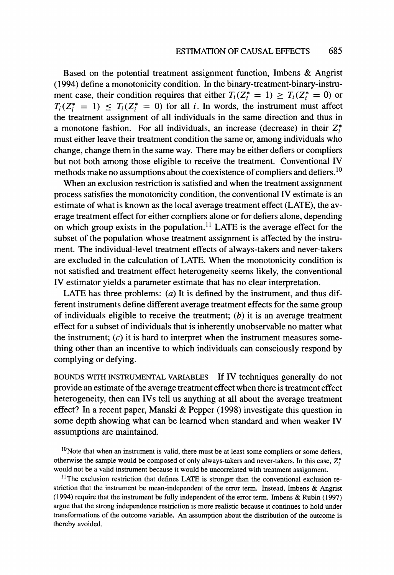**Based on the potential treatment assignment function, Imbens & Angrist (1994) define a monotonicity condition. In the binary-treatment-binary-instru**ment case, their condition requires that either  $T_i (Z_i^* = 1) \geq T_i (Z_i^* = 0)$  or  $T_i(Z_i^* = 1) \leq T_i(Z_i^* = 0)$  for all i. In words, the instrument must affect **the treatment assignment of all individuals in the same direction and thus in a monotone fashion. For all individuals, an increase (decrease) in their Z\* must either leave their treatment condition the same or, among individuals who change, change them in the same way. There may be either defiers or compliers but not both among those eligible to receive the treatment. Conventional IV methods make no assumptions about the coexistence of compliers and defiers.'0** 

**When an exclusion restriction is satisfied and when the treatment assignment process satisfies the monotonicity condition, the conventional IV estimate is an estimate of what is known as the local average treatment effect (LATE), the average treatment effect for either compliers alone or for defiers alone, depending**  on which group exists in the population.<sup>11</sup> LATE is the average effect for the **subset of the population whose treatment assignment is affected by the instrument. The individual-level treatment effects of always-takers and never-takers are excluded in the calculation of LATE. When the monotonicity condition is not satisfied and treatment effect heterogeneity seems likely, the conventional IV estimator yields a parameter estimate that has no clear interpretation.** 

LATE has three problems: (*a*) It is defined by the instrument, and thus dif**ferent instruments define different average treatment effects for the same group of individuals eligible to receive the treatment; (b) it is an average treatment effect for a subset of individuals that is inherently unobservable no matter what the instrument; (c) it is hard to interpret when the instrument measures something other than an incentive to which individuals can consciously respond by complying or defying.** 

**BOUNDS WITH INSTRUMENTAL VARIABLES If IV techniques generally do not provide an estimate of the average treatment effect when there is treatment effect heterogeneity, then can IVs tell us anything at all about the average treatment effect? In a recent paper, Manski & Pepper (1998) investigate this question in some depth showing what can be learned when standard and when weaker IV assumptions are maintained.** 

<sup>10</sup>Note that when an instrument is valid, there must be at least some compliers or some defiers, **otherwise the sample would be composed of only always-takers and never-takers. In this case, Z\* would not be a valid instrument because it would be uncorrelated with treatment assignment.** 

<sup>11</sup> The exclusion restriction that defines LATE is stronger than the conventional exclusion re**striction that the instrument be mean-independent of the error term. Instead, Imbens & Angrist (1994) require that the instrument be fully independent of the error term. Imbens & Rubin (1997) argue that the strong independence restriction is more realistic because it continues to hold under transformations of the outcome variable. An assumption about the distribution of the outcome is thereby avoided.**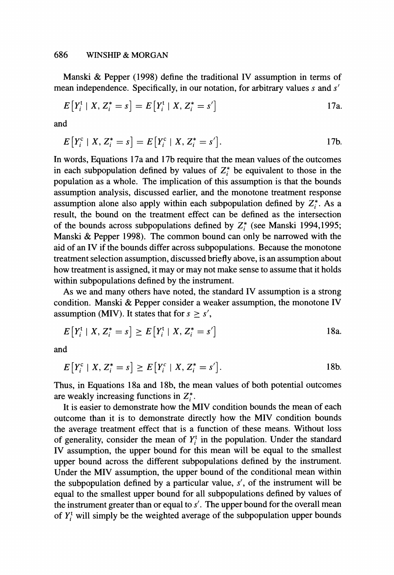**Manski & Pepper (1998) define the traditional IV assumption in terms of mean independence. Specifically, in our notation, for arbitrary values s and s'** 

$$
E[Y_i^t \mid X, Z_i^* = s] = E[Y_i^t \mid X, Z_i^* = s'] \qquad \qquad 17a.
$$

**and** 

$$
E[Y_i^c \mid X, Z_i^* = s] = E[Y_i^c \mid X, Z_i^* = s'].
$$
 17b.

**In words, Equations 17a and 17b require that the mean values of the outcomes**  in each subpopulation defined by values of  $Z_i^*$  be equivalent to those in the **population as a whole. The implication of this assumption is that the bounds assumption analysis, discussed earlier, and the monotone treatment response**  assumption alone also apply within each subpopulation defined by  $Z_i^*$ . As a **result, the bound on the treatment effect can be defined as the intersection**  of the bounds across subpopulations defined by  $Z_i^*$  (see Manski 1994,1995; **Manski & Pepper 1998). The common bound can only be narrowed with the aid of an IV if the bounds differ across subpopulations. Because the monotone treatment selection assumption, discussed briefly above, is an assumption about how treatment is assigned, it may or may not make sense to assume that it holds within subpopulations defined by the instrument.** 

**As we and many others have noted, the standard IV assumption is a strong condition. Manski & Pepper consider a weaker assumption, the monotone IV**  assumption (MIV). It states that for  $s \geq s'$ ,

$$
E[Y_i^{\mathrm{t}} \mid X, Z_i^* = s] \geq E[Y_i^{\mathrm{t}} \mid X, Z_i^* = s'] \qquad \qquad 18a.
$$

**and** 

$$
E[Y_i^c \mid X, Z_i^* = s] \ge E[Y_i^c \mid X, Z_i^* = s']
$$

**Thus, in Equations 18a and 18b, the mean values of both potential outcomes**  are weakly increasing functions in  $Z_i^*$ .

**It is easier to demonstrate how the MIV condition bounds the mean of each outcome than it is to demonstrate directly how the MIV condition bounds the average treatment effect that is a function of these means. Without loss**  of generality, consider the mean of  $Y_i^t$  in the population. Under the standard **IV assumption, the upper bound for this mean will be equal to the smallest upper bound across the different subpopulations defined by the instrument. Under the MIV assumption, the upper bound of the conditional mean within the subpopulation defined by a particular value, s', of the instrument will be equal to the smallest upper bound for all subpopulations defined by values of the instrument greater than or equal to s'. The upper bound for the overall mean**  of  $Y_i^t$  will simply be the weighted average of the subpopulation upper bounds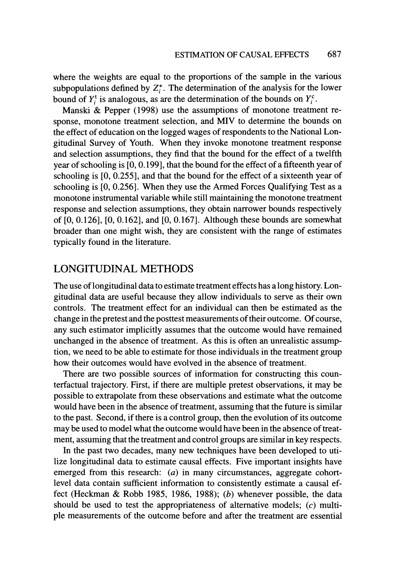**where the weights are equal to the proportions of the sample in the various**  subpopulations defined by  $Z_i^*$ . The determination of the analysis for the lower bound of  $Y_i^t$  is analogous, as are the determination of the bounds on  $Y_i^c$ .

**Manski & Pepper (1998) use the assumptions of monotone treatment response, monotone treatment selection, and MIV to determine the bounds on the effect of education on the logged wages of respondents to the National Longitudinal Survey of Youth. When they invoke monotone treatment response and selection assumptions, they find that the bound for the effect of a twelfth year of schooling is [0, 0.199], that the bound for the effect of a fifteenth year of schooling is [0, 0.255], and that the bound for the effect of a sixteenth year of schooling is [0, 0.256]. When they use the Armed Forces Qualifying Test as a monotone instrumental variable while still maintaining the monotone treatment response and selection assumptions, they obtain narrower bounds respectively of [0, 0.126], [0, 0.162], and [0, 0.167]. Although these bounds are somewhat broader than one might wish, they are consistent with the range of estimates typically found in the literature.** 

## **LONGITUDINAL METHODS**

**The use of longitudinal data to estimate treatment effects has a long history. Longitudinal data are useful because they allow individuals to serve as their own controls. The treatment effect for an individual can then be estimated as the change in the pretest and the posttest measurements of their outcome. Of course, any such estimator implicitly assumes that the outcome would have remained unchanged in the absence of treatment. As this is often an unrealistic assumption, we need to be able to estimate for those individuals in the treatment group how their outcomes would have evolved in the absence of treatment.** 

**There are two possible sources of information for constructing this counterfactual trajectory. First, if there are multiple pretest observations, it may be possible to extrapolate from these observations and estimate what the outcome would have been in the absence of treatment, assuming that the future is similar to the past. Second, if there is a control group, then the evolution of its outcome may be used to model what the outcome would have been in the absence of treatment, assuming that the treatment and control groups are similar in key respects.** 

**In the past two decades, many new techniques have been developed to utilize longitudinal data to estimate causal effects. Five important insights have**  emerged from this research: (*a*) in many circumstances, aggregate cohort**level data contain sufficient information to consistently estimate a causal effect (Heckman & Robb 1985, 1986, 1988); (b) whenever possible, the data should be used to test the appropriateness of alternative models; (c) multiple measurements of the outcome before and after the treatment are essential**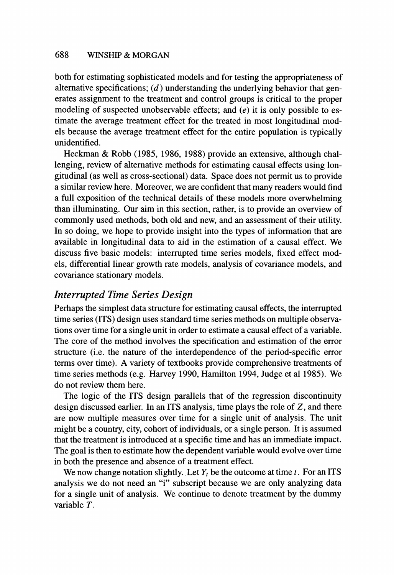**both for estimating sophisticated models and for testing the appropriateness of alternative specifications; (d) understanding the underlying behavior that generates assignment to the treatment and control groups is critical to the proper**  modeling of suspected unobservable effects; and (*e*) it is only possible to es**timate the average treatment effect for the treated in most longitudinal models because the average treatment effect for the entire population is typically unidentified.** 

**Heckman & Robb (1985, 1986, 1988) provide an extensive, although challenging, review of alternative methods for estimating causal effects using longitudinal (as well as cross-sectional) data. Space does not permit us to provide a similar review here. Moreover, we are confident that many readers would find a full exposition of the technical details of these models more overwhelming than illuminating. Our aim in this section, rather, is to provide an overview of commonly used methods, both old and new, and an assessment of their utility. In so doing, we hope to provide insight into the types of information that are available in longitudinal data to aid in the estimation of a causal effect. We discuss five basic models: interrupted time series models, fixed effect models, differential linear growth rate models, analysis of covariance models, and covariance stationary models.** 

## **Interrupted Time Series Design**

**Perhaps the simplest data structure for estimating causal effects, the interrupted time series (ITS) design uses standard time series methods on multiple observations over time for a single unit in order to estimate a causal effect of a variable. The core of the method involves the specification and estimation of the error structure (i.e. the nature of the interdependence of the period-specific error terms over time). A variety of textbooks provide comprehensive treatments of time series methods (e.g. Harvey 1990, Hamilton 1994, Judge et al 1985). We do not review them here.** 

**The logic of the ITS design parallels that of the regression discontinuity design discussed earlier. In an ITS analysis, time plays the role of Z, and there are now multiple measures over time for a single unit of analysis. The unit might be a country, city, cohort of individuals, or a single person. It is assumed that the treatment is introduced at a specific time and has an immediate impact. The goal is then to estimate how the dependent variable would evolve over time in both the presence and absence of a treatment effect.** 

We now change notation slightly. Let  $Y_t$  be the outcome at time  $t$ . For an ITS **analysis we do not need an "i" subscript because we are only analyzing data for a single unit of analysis. We continue to denote treatment by the dummy variable T.**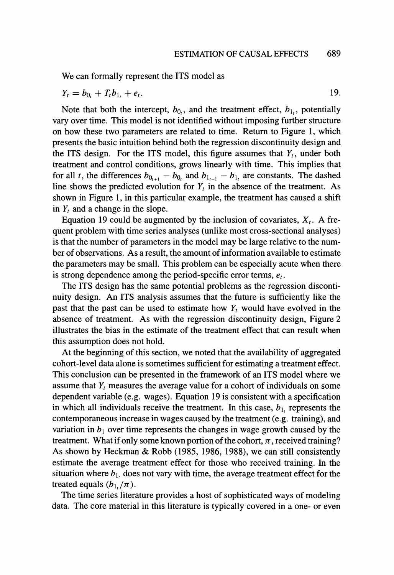**We can formally represent the ITS model as** 

$$
Y_t = b_{0_t} + T_t b_{1_t} + e_t.
$$

Note that both the intercept,  $b_0$ , and the treatment effect,  $b_1$ , potentially **vary over time. This model is not identified without imposing further structure on how these two parameters are related to time. Return to Figure 1, which presents the basic intuition behind both the regression discontinuity design and**  the ITS design. For the ITS model, this figure assumes that  $Y_t$ , under both **treatment and control conditions, grows linearly with time. This implies that**  for all t, the differences  $b_{0_{t+1}} - b_{0_t}$  and  $b_{1_{t+1}} - b_{1_t}$  are constants. The dashed line shows the predicted evolution for  $Y_t$  in the absence of the treatment. As **shown in Figure 1, in this particular example, the treatment has caused a shift**  in  $Y_t$  and a change in the slope.

Equation 19 could be augmented by the inclusion of covariates,  $X_t$ . A fre**quent problem with time series analyses (unlike most cross-sectional analyses) is that the number of parameters in the model may be large relative to the number of observations. As a result, the amount of information available to estimate the parameters may be small. This problem can be especially acute when there**  is strong dependence among the period-specific error terms,  $e_t$ .

**The ITS design has the same potential problems as the regression discontinuity design. An ITS analysis assumes that the future is sufficiently like the**  past that the past can be used to estimate how  $Y_t$  would have evolved in the **absence of treatment. As with the regression discontinuity design, Figure 2 illustrates the bias in the estimate of the treatment effect that can result when this assumption does not hold.** 

**At the beginning of this section, we noted that the availability of aggregated cohort-level data alone is sometimes sufficient for estimating a treatment effect. This conclusion can be presented in the framework of an ITS model where we**  assume that  $Y_t$  measures the average value for a cohort of individuals on some **dependent variable (e.g. wages). Equation 19 is consistent with a specification**  in which all individuals receive the treatment. In this case,  $b<sub>1</sub>$ , represents the **contemporaneous increase in wages caused by the treatment (e.g. training), and**  variation in  $b_1$  over time represents the changes in wage growth caused by the treatment. What if only some known portion of the cohort,  $\pi$ , received training? **As shown by Heckman & Robb (1985, 1986, 1988), we can still consistently estimate the average treatment effect for those who received training. In the**  situation where  $b_1$ , does not vary with time, the average treatment effect for the **treated equals**  $(b_1/\pi)$ **.** 

**The time series literature provides a host of sophisticated ways of modeling data. The core material in this literature is typically covered in a one- or even**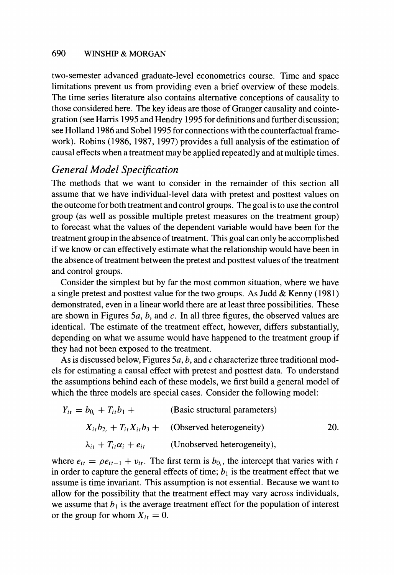**two-semester advanced graduate-level econometrics course. Time and space limitations prevent us from providing even a brief overview of these models. The time series literature also contains alternative conceptions of causality to those considered here. The key ideas are those of Granger causality and cointegration (see Harris 1995 and Hendry 1995 for definitions and further discussion; see Holland 1986 and Sobel 1995 for connections with the counterfactual framework). Robins (1986, 1987, 1997) provides a full analysis of the estimation of causal effects when a treatment may be applied repeatedly and at multiple times.** 

## **General Model Specification**

**The methods that we want to consider in the remainder of this section all assume that we have individual-level data with pretest and posttest values on the outcome for both treatment and control groups. The goal is to use the control group (as well as possible multiple pretest measures on the treatment group) to forecast what the values of the dependent variable would have been for the treatment group in the absence of treatment. This goal can only be accomplished if we know or can effectively estimate what the relationship would have been in the absence of treatment between the pretest and posttest values of the treatment and control groups.** 

**Consider the simplest but by far the most common situation, where we have a single pretest and posttest value for the two groups. As Judd & Kenny (1981) demonstrated, even in a linear world there are at least three possibilities. These are shown in Figures 5a, b, and c. In all three figures, the observed values are identical. The estimate of the treatment effect, however, differs substantially, depending on what we assume would have happened to the treatment group if they had not been exposed to the treatment.** 

**As is discussed below, Figures 5a, b, and c characterize three traditional models for estimating a causal effect with pretest and posttest data. To understand the assumptions behind each of these models, we first build a general model of which the three models are special cases. Consider the following model:** 

$$
Y_{it} = b_{0_i} + T_{it}b_1 +
$$
 (Basic structural parameters)  
\n
$$
X_{it}b_{2_i} + T_{it}X_{it}b_3 +
$$
 (Observed heterogeneity) 20.  
\n
$$
\lambda_{it} + T_{it}\alpha_i + e_{it}
$$
 (Unobserved heterogeneity),

where  $e_{it} = \rho e_{it-1} + v_{it}$ . The first term is  $b_0$ , the intercept that varies with t in order to capture the general effects of time;  $b_1$  is the treatment effect that we **assume is time invariant. This assumption is not essential. Because we want to allow for the possibility that the treatment effect may vary across individuals,**  we assume that  $b_1$  is the average treatment effect for the population of interest or the group for whom  $X_{it} = 0$ .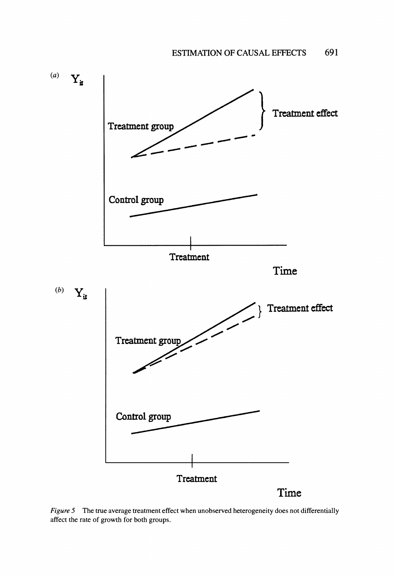

**Figure 5 The true average treatment effect when unobserved heterogeneity does not differentially affect the rate of growth for both groups.**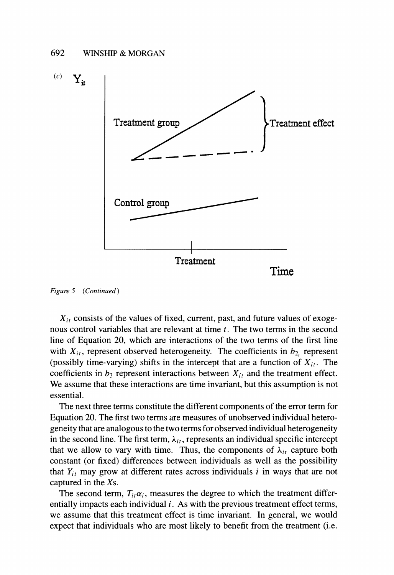

**Figure 5 (Continued)** 

 $X_{it}$  consists of the values of fixed, current, past, and future values of exoge**nous control variables that are relevant at time t. The two terms in the second line of Equation 20, which are interactions of the two terms of the first line**  with  $X_{it}$ , represent observed heterogeneity. The coefficients in  $b_2$ , represent (possibly time-varying) shifts in the intercept that are a function of  $X_{it}$ . The coefficients in  $b_3$  represent interactions between  $X_{it}$  and the treatment effect. **We assume that these interactions are time invariant, but this assumption is not essential.** 

**The next three terms constitute the different components of the error term for Equation 20. The first two terms are measures of unobserved individual heterogeneity that are analogous to the two terms for observed individual heterogeneity**  in the second line. The first term,  $\lambda_{it}$ , represents an individual specific intercept that we allow to vary with time. Thus, the components of  $\lambda_{it}$  capture both **constant (or fixed) differences between individuals as well as the possibility**  that  $Y_{it}$  may grow at different rates across individuals  $i$  in ways that are not **captured in the Xs.** 

The second term,  $T_{it} \alpha_i$ , measures the degree to which the treatment differ**entially impacts each individual i. As with the previous treatment effect terms, we assume that this treatment effect is time invariant. In general, we would expect that individuals who are most likely to benefit from the treatment (i.e.**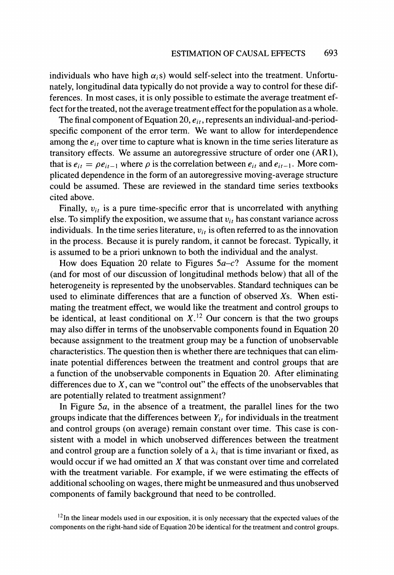individuals who have high  $\alpha_i$ s) would self-select into the treatment. Unfortu**nately, longitudinal data typically do not provide a way to control for these differences. In most cases, it is only possible to estimate the average treatment effect for the treated, not the average treatment effect for the population as a whole.** 

The final component of Equation 20,  $e_{it}$ , represents an individual-and-period**specific component of the error term. We want to allow for interdependence**  among the  $e_{it}$  over time to capture what is known in the time series literature as **transitory effects. We assume an autoregressive structure of order one (AR1),**  that is  $e_{it} = \rho e_{it-1}$  where  $\rho$  is the correlation between  $e_{it}$  and  $e_{it-1}$ . More com**plicated dependence in the form of an autoregressive moving-average structure could be assumed. These are reviewed in the standard time series textbooks cited above.** 

Finally,  $v_{i}$  is a pure time-specific error that is uncorrelated with anything else. To simplify the exposition, we assume that  $v_{it}$  has constant variance across individuals. In the time series literature,  $v_{it}$  is often referred to as the innovation **in the process. Because it is purely random, it cannot be forecast. Typically, it is assumed to be a priori unknown to both the individual and the analyst.** 

**How does Equation 20 relate to Figures 5a-c? Assume for the moment (and for most of our discussion of longitudinal methods below) that all of the heterogeneity is represented by the unobservables. Standard techniques can be used to eliminate differences that are a function of observed Xs. When estimating the treatment effect, we would like the treatment and control groups to**  be identical, at least conditional on  $X<sup>12</sup>$  Our concern is that the two groups **may also differ in terms of the unobservable components found in Equation 20 because assignment to the treatment group may be a function of unobservable characteristics. The question then is whether there are techniques that can eliminate potential differences between the treatment and control groups that are a function of the unobservable components in Equation 20. After eliminating differences due to X, can we "control out" the effects of the unobservables that are potentially related to treatment assignment?** 

**In Figure 5a, in the absence of a treatment, the parallel lines for the two**  groups indicate that the differences between  $Y_{it}$  for individuals in the treatment **and control groups (on average) remain constant over time. This case is consistent with a model in which unobserved differences between the treatment**  and control group are a function solely of a  $\lambda_i$  that is time invariant or fixed, as **would occur if we had omitted an X that was constant over time and correlated with the treatment variable. For example, if we were estimating the effects of additional schooling on wages, there might be unmeasured and thus unobserved components of family background that need to be controlled.** 

<sup>&</sup>lt;sup>12</sup>In the linear models used in our exposition, it is only necessary that the expected values of the **components on the right-hand side of Equation 20 be identical for the treatment and control groups.**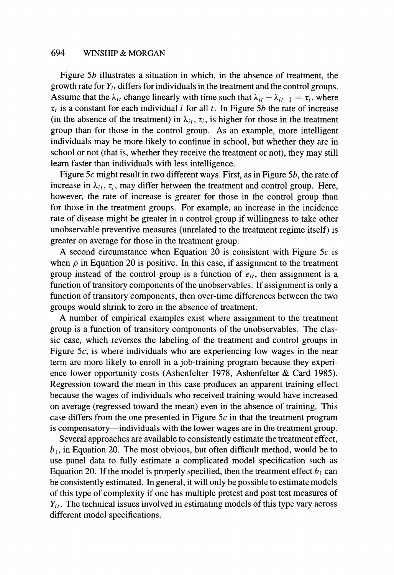**Figure 5b illustrates a situation in which, in the absence of treatment, the growth rate for Yi, differs for individuals in the treatment and the control groups. Assume that the**  $\lambda_{it}$  **change linearly with time such that**  $\lambda_{it} - \lambda_{it-1} = \tau_i$ **, where**  $\tau_i$  is a constant for each individual *i* for all *t*. In Figure 5*b* the rate of increase (in the absence of the treatment) in  $\lambda_{it}$ ,  $\tau_i$ , is higher for those in the treatment **group than for those in the control group. As an example, more intelligent individuals may be more likely to continue in school, but whether they are in school or not (that is, whether they receive the treatment or not), they may still learn faster than individuals with less intelligence.** 

**Figure 5c might result in two different ways. First, as in Figure 5b, the rate of**  increase in  $\lambda_{it}$ ,  $\tau_i$ , may differ between the treatment and control group. Here, **however, the rate of increase is greater for those in the control group than for those in the treatment groups. For example, an increase in the incidence rate of disease might be greater in a control group if willingness to take other unobservable preventive measures (unrelated to the treatment regime itself) is greater on average for those in the treatment group.** 

**A second circumstance when Equation 20 is consistent with Figure 5c is**  when  $\rho$  in Equation 20 is positive. In this case, if assignment to the treatment group instead of the control group is a function of  $e_{it}$ , then assignment is a **function of transitory components of the unobservables. If assignment is only a function of transitory components, then over-time differences between the two groups would shrink to zero in the absence of treatment.** 

**A number of empirical examples exist where assignment to the treatment group is a function of transitory components of the unobservables. The classic case, which reverses the labeling of the treatment and control groups in Figure 5c, is where individuals who are experiencing low wages in the near term are more likely to enroll in a job-training program because they experience lower opportunity costs (Ashenfelter 1978, Ashenfelter & Card 1985). Regression toward the mean in this case produces an apparent training effect because the wages of individuals who received training would have increased on average (regressed toward the mean) even in the absence of training. This case differs from the one presented in Figure 5c in that the treatment program**  is compensatory—individuals with the lower wages are in the treatment group.

**Several approaches are available to consistently estimate the treatment effect,**   $b_1$ , in Equation 20. The most obvious, but often difficult method, would be to **use panel data to fully estimate a complicated model specification such as Equation 20. If the model is properly specified, then the treatment effect**  $b_1$  **can be consistently estimated. In general, it will only be possible to estimate models of this type of complexity if one has multiple pretest and post test measures of Yi. The technical issues involved in estimating models of this type vary across different model specifications.**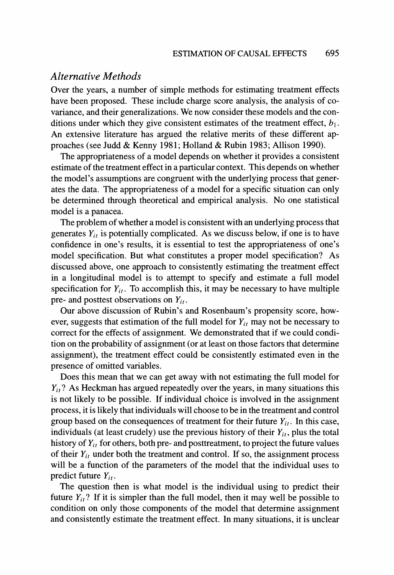## **Alternative Methods**

**Over the years, a number of simple methods for estimating treatment effects have been proposed. These include charge score analysis, the analysis of covariance, and their generalizations. We now consider these models and the con**ditions under which they give consistent estimates of the treatment effect,  $b_1$ . **An extensive literature has argued the relative merits of these different approaches (see Judd & Kenny 1981; Holland & Rubin 1983; Allison 1990).** 

**The appropriateness of a model depends on whether it provides a consistent estimate of the treatment effect in a particular context. This depends on whether the model's assumptions are congruent with the underlying process that generates the data. The appropriateness of a model for a specific situation can only be determined through theoretical and empirical analysis. No one statistical model is a panacea.** 

**The problem of whether a model is consistent with an underlying process that**  generates  $Y_{it}$  is potentially complicated. As we discuss below, if one is to have **confidence in one's results, it is essential to test the appropriateness of one's model specification. But what constitutes a proper model specification? As discussed above, one approach to consistently estimating the treatment effect in a longitudinal model is to attempt to specify and estimate a full model**  specification for  $Y_{it}$ . To accomplish this, it may be necessary to have multiple pre- and posttest observations on  $Y_{it}$ .

**Our above discussion of Rubin's and Rosenbaum's propensity score, how**ever, suggests that estimation of the full model for  $Y_{it}$  may not be necessary to **correct for the effects of assignment. We demonstrated that if we could condition on the probability of assignment (or at least on those factors that determine assignment), the treatment effect could be consistently estimated even in the presence of omitted variables.** 

**Does this mean that we can get away with not estimating the full model for**   $Y_{it}$ ? As Heckman has argued repeatedly over the years, in many situations this **is not likely to be possible. If individual choice is involved in the assignment process, it is likely that individuals will choose to be in the treatment and control**  group based on the consequences of treatment for their future  $Y_{it}$ . In this case, individuals (at least crudely) use the previous history of their  $Y_{it}$ , plus the total history of Y<sub>it</sub> for others, both pre- and posttreatment, to project the future values of their  $Y_{it}$  under both the treatment and control. If so, the assignment process **will be a function of the parameters of the model that the individual uses to**  predict future  $Y_{it}$ .

**The question then is what model is the individual using to predict their**  future  $Y_{it}$ ? If it is simpler than the full model, then it may well be possible to **condition on only those components of the model that determine assignment and consistently estimate the treatment effect. In many situations, it is unclear**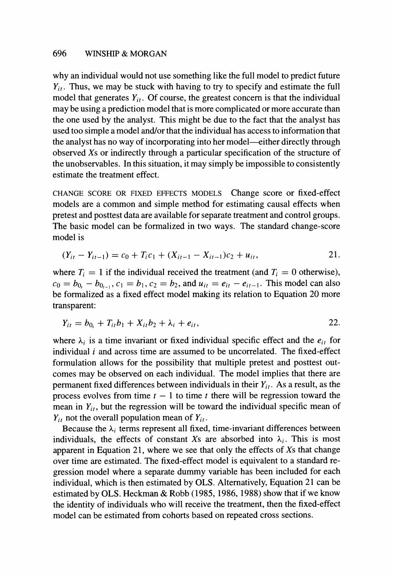**why an individual would not use something like the full model to predict future**   $Y_{it}$ . Thus, we may be stuck with having to try to specify and estimate the full model that generates  $Y_{it}$ . Of course, the greatest concern is that the individual **may be using a prediction model that is more complicated or more accurate than the one used by the analyst. This might be due to the fact that the analyst has used too simple a model and/or that the individual has access to information that the analyst has no way of incorporating into her model-either directly through observed Xs or indirectly through a particular specification of the structure of the unobservables. In this situation, it may simply be impossible to consistently estimate the treatment effect.** 

**CHANGE SCORE OR FIXED EFFECTS MODELS Change score or fixed-effect models are a common and simple method for estimating causal effects when pretest and posttest data are available for separate treatment and control groups. The basic model can be formalized in two ways. The standard change-score model is** 

$$
(Y_{it} - Y_{it-1}) = c_0 + T_i c_1 + (X_{it-1} - X_{it-1})c_2 + u_{it},
$$

where  $T_i = 1$  if the individual received the treatment (and  $T_i = 0$  otherwise),  $c_0 = b_{0<sub>i</sub>} - b_{0<sub>i-1</sub>}$ ,  $c_1 = b_1$ ,  $c_2 = b_2$ , and  $u_{it} = e_{it} - e_{it-1}$ . This model can also **be formalized as a fixed effect model making its relation to Equation 20 more transparent:** 

$$
Y_{it} = b_{0_i} + T_{it}b_1 + X_{it}b_2 + \lambda_i + e_{it},
$$

where  $\lambda_i$  is a time invariant or fixed individual specific effect and the  $e_{it}$  for **individual i and across time are assumed to be uncorrelated. The fixed-effect formulation allows for the possibility that multiple pretest and posttest outcomes may be observed on each individual. The model implies that there are permanent fixed differences between individuals in their**  $Y_{it}$ **. As a result, as the** process evolves from time  $t - 1$  to time t there will be regression toward the mean in  $Y_{it}$ , but the regression will be toward the individual specific mean of  $Y_{it}$  not the overall population mean of  $Y_{it}$ .

Because the  $\lambda_i$  terms represent all fixed, time-invariant differences between individuals, the effects of constant Xs are absorbed into  $\lambda_i$ . This is most **apparent in Equation 21, where we see that only the effects of Xs that change over time are estimated. The fixed-effect model is equivalent to a standard regression model where a separate dummy variable has been included for each individual, which is then estimated by OLS. Alternatively, Equation 21 can be estimated by OLS. Heckman & Robb (1985, 1986, 1988) show that if we know the identity of individuals who will receive the treatment, then the fixed-effect model can be estimated from cohorts based on repeated cross sections.**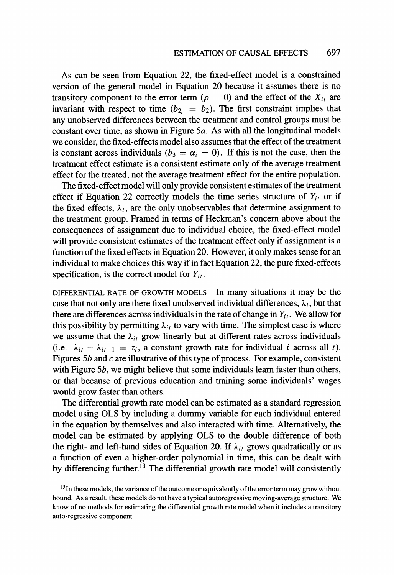**As can be seen from Equation 22, the fixed-effect model is a constrained version of the general model in Equation 20 because it assumes there is no transitory component to the error term (** $\rho = 0$ **) and the effect of the**  $X_{it}$  **are** invariant with respect to time  $(b_2, = b_2)$ . The first constraint implies that **any unobserved differences between the treatment and control groups must be constant over time, as shown in Figure 5a. As with all the longitudinal models we consider, the fixed-effects model also assumes that the effect of the treatment**  is constant across individuals ( $b_3 = \alpha_i = 0$ ). If this is not the case, then the **treatment effect estimate is a consistent estimate only of the average treatment effect for the treated, not the average treatment effect for the entire population.** 

**The fixed-effect model will only provide consistent estimates of the treatment**  effect if Equation 22 correctly models the time series structure of  $Y_{it}$  or if the fixed effects,  $\lambda_i$ , are the only unobservables that determine assignment to **the treatment group. Framed in terms of Heckman's concern above about the consequences of assignment due to individual choice, the fixed-effect model will provide consistent estimates of the treatment effect only if assignment is a function of the fixed effects in Equation 20. However, it only makes sense for an individual to make choices this way if in fact Equation 22, the pure fixed-effects**  specification, is the correct model for  $Y_{it}$ .

**DIFFERENTIAL RATE OF GROWTH MODELS In many situations it may be the**  case that not only are there fixed unobserved individual differences,  $\lambda_i$ , but that there are differences across individuals in the rate of change in  $Y_{it}$ . We allow for this possibility by permitting  $\lambda_{it}$  to vary with time. The simplest case is where we assume that the  $\lambda_{it}$  grow linearly but at different rates across individuals (i.e.  $\lambda_{it} - \lambda_{it-1} = \tau_i$ , a constant growth rate for individual *i* across all *t*). **Figures 5b and c are illustrative of this type of process. For example, consistent with Figure 5b, we might believe that some individuals learn faster than others, or that because of previous education and training some individuals' wages would grow faster than others.** 

**The differential growth rate model can be estimated as a standard regression model using OLS by including a dummy variable for each individual entered in the equation by themselves and also interacted with time. Alternatively, the model can be estimated by applying OLS to the double difference of both**  the right- and left-hand sides of Equation 20. If  $\lambda_{it}$  grows quadratically or as **a function of even a higher-order polynomial in time, this can be dealt with by differencing further.13 The differential growth rate model will consistently** 

**<sup>13</sup> In these models, the variance of the outcome or equivalently of the error term may grow without bound. As a result, these models do not have a typical autoregressive moving-average structure. We know of no methods for estimating the differential growth rate model when it includes a transitory auto-regressive component.**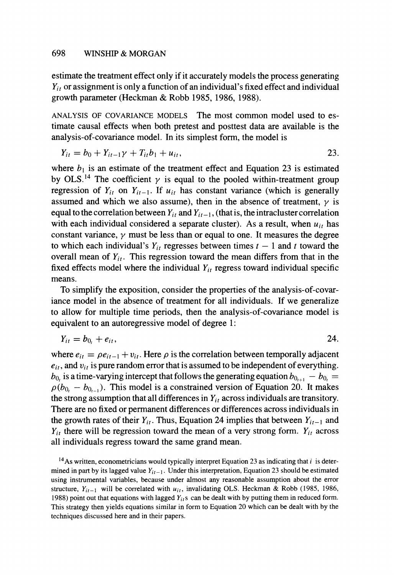**estimate the treatment effect only if it accurately models the process generating**   $Y_{it}$  or assignment is only a function of an individual's fixed effect and individual **growth parameter (Heckman & Robb 1985, 1986, 1988).** 

**ANALYSIS OF COVARIANCE MODELS The most common model used to estimate causal effects when both pretest and posttest data are available is the analysis-of-covariance model. In its simplest form, the model is** 

$$
Y_{it} = b_0 + Y_{it-1}\gamma + T_{it}b_1 + u_{it},
$$

where  $b_1$  is an estimate of the treatment effect and Equation 23 is estimated by OLS.<sup>14</sup> The coefficient  $\gamma$  is equal to the pooled within-treatment group **regression of**  $Y_{it}$  **on**  $Y_{it-1}$ **. If**  $u_{it}$  **has constant variance (which is generally** assumed and which we also assume), then in the absence of treatment,  $\gamma$  is equal to the correlation between  $Y_{it}$  and  $Y_{it-1}$ , (that is, the intracluster correlation with each individual considered a separate cluster). As a result, when  $u_{it}$  has constant variance,  $\gamma$  must be less than or equal to one. It measures the degree to which each individual's  $Y_{it}$  regresses between times  $t - 1$  and  $t$  toward the overall mean of  $Y_{it}$ . This regression toward the mean differs from that in the fixed effects model where the individual  $Y_{it}$  regress toward individual specific **means.** 

**To simplify the exposition, consider the properties of the analysis-of-covariance model in the absence of treatment for all individuals. If we generalize to allow for multiple time periods, then the analysis-of-covariance model is equivalent to an autoregressive model of degree 1:** 

$$
Y_{it} = b_{0_i} + e_{it}, \t\t 24.
$$

where  $e_{it} = \rho e_{it-1} + v_{it}$ . Here  $\rho$  is the correlation between temporally adjacent  $e_{it}$ , and  $v_{it}$  is pure random error that is assumed to be independent of everything.  $b_{0}$ , is a time-varying intercept that follows the generating equation  $b_{0_{t+1}} - b_{0_t} =$  $p(b_{0,-} - b_{0,-})$ . This model is a constrained version of Equation 20. It makes the strong assumption that all differences in  $Y_{it}$  across individuals are transitory. **There are no fixed or permanent differences or differences across individuals in**  the growth rates of their  $Y_{it}$ . Thus, Equation 24 implies that between  $Y_{it-1}$  and  $Y_{it}$  there will be regression toward the mean of a very strong form.  $Y_{it}$  across **all individuals regress toward the same grand mean.** 

**14As written, econometricians would typically interpret Equation 23 as indicating that i is deter**mined in part by its lagged value  $Y_{i,i-1}$ . Under this interpretation, Equation 23 should be estimated **using instrumental variables, because under almost any reasonable assumption about the error**  structure,  $Y_{i-1}$  will be correlated with  $u_{i}$ , invalidating OLS. Heckman & Robb (1985, 1986, 1988) point out that equations with lagged  $Y_{i}$ s can be dealt with by putting them in reduced form. **This strategy then yields equations similar in form to Equation 20 which can be dealt with by the techniques discussed here and in their papers.**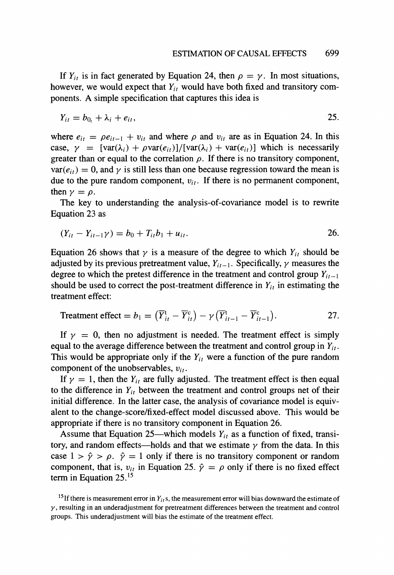If  $Y_{it}$  is in fact generated by Equation 24, then  $\rho = \gamma$ . In most situations, however, we would expect that  $Y_{it}$  would have both fixed and transitory com**ponents. A simple specification that captures this idea is** 

$$
Y_{it}=b_{0_i}+\lambda_i+e_{it}, \qquad \qquad \text{25.}
$$

where  $e_{it} = \rho e_{it-1} + v_{it}$  and where  $\rho$  and  $v_{it}$  are as in Equation 24. In this case,  $\gamma = \left[ \text{var}(\lambda_i) + \rho \text{var}(e_{it}) \right] / \left[ \text{var}(\lambda_i) + \text{var}(e_{it}) \right]$  which is necessarily greater than or equal to the correlation  $\rho$ . If there is no transitory component,  $var(e_{it}) = 0$ , and  $\gamma$  is still less than one because regression toward the mean is due to the pure random component,  $v_{it}$ . If there is no permanent component, then  $\gamma = \rho$ .

**The key to understanding the analysis-of-covariance model is to rewrite Equation 23 as** 

$$
(Y_{it} - Y_{it-1}\gamma) = b_0 + T_{it}b_1 + u_{it}.
$$

Equation 26 shows that  $\gamma$  is a measure of the degree to which  $Y_{it}$  should be adjusted by its previous pretreatment value,  $Y_{it-1}$ . Specifically,  $\gamma$  measures the degree to which the pretest difference in the treatment and control group  $Y_{it-1}$ should be used to correct the post-treatment difference in  $Y_{it}$  in estimating the **treatment effect:** 

$$
\text{Treatment effect} = b_1 = \left(\overline{Y}_{it}^{\text{t}} - \overline{Y}_{it}^{\text{c}}\right) - \gamma \left(\overline{Y}_{it-1}^{\text{t}} - \overline{Y}_{it-1}^{\text{c}}\right). \tag{27}.
$$

If  $\gamma = 0$ , then no adjustment is needed. The treatment effect is simply equal to the average difference between the treatment and control group in  $Y_{it}$ . This would be appropriate only if the  $Y_{it}$  were a function of the pure random component of the unobservables,  $v_{it}$ .

If  $\gamma = 1$ , then the  $Y_{it}$  are fully adjusted. The treatment effect is then equal to the difference in  $Y_{it}$  between the treatment and control groups net of their **initial difference. In the latter case, the analysis of covariance model is equivalent to the change-score/fixed-effect model discussed above. This would be appropriate if there is no transitory component in Equation 26.** 

Assume that Equation 25—which models  $Y_{it}$  as a function of fixed, transitory, and random effects—holds and that we estimate  $\gamma$  from the data. In this case  $1 > \hat{\gamma} > \rho$ .  $\hat{\gamma} = 1$  only if there is no transitory component or random component, that is,  $v_{it}$  in Equation 25.  $\hat{\gamma} = \rho$  only if there is no fixed effect **term in Equation 25.15** 

<sup>&</sup>lt;sup>15</sup>If there is measurement error in  $Y_{it}$ s, the measurement error will bias downward the estimate of  $\gamma$ , resulting in an underadjustment for pretreatment differences between the treatment and control **groups. This underadjustment will bias the estimate of the treatment effect.**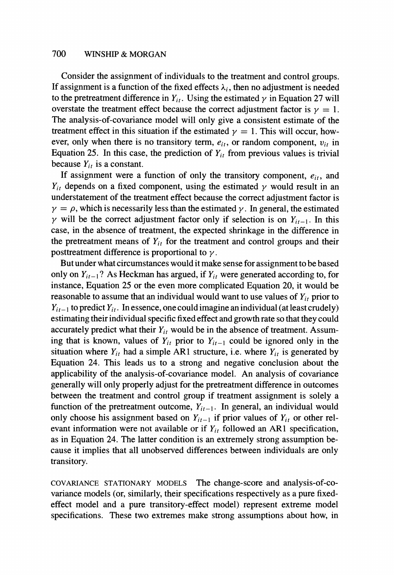**Consider the assignment of individuals to the treatment and control groups.**  If assignment is a function of the fixed effects  $\lambda_i$ , then no adjustment is needed to the pretreatment difference in  $Y_{it}$ . Using the estimated  $\gamma$  in Equation 27 will overstate the treatment effect because the correct adjustment factor is  $y = 1$ . **The analysis-of-covariance model will only give a consistent estimate of the**  treatment effect in this situation if the estimated  $\gamma = 1$ . This will occur, however, only when there is no transitory term,  $e_{it}$ , or random component,  $v_{it}$  in **Equation 25.** In this case, the prediction of  $Y_{it}$  from previous values is trivial because  $Y_{it}$  is a constant.

If assignment were a function of only the transitory component,  $e_{it}$ , and  $Y_{it}$  depends on a fixed component, using the estimated  $\gamma$  would result in an **understatement of the treatment effect because the correct adjustment factor is**   $\gamma = \rho$ , which is necessarily less than the estimated  $\gamma$ . In general, the estimated  $\gamma$  will be the correct adjustment factor only if selection is on  $Y_{it-1}$ . In this **case, in the absence of treatment, the expected shrinkage in the difference in**  the pretreatment means of  $Y_{it}$  for the treatment and control groups and their posttreatment difference is proportional to  $\gamma$ .

**But under what circumstances would it make sense for assignment to be based**  only on  $Y_{it-1}$ ? As Heckman has argued, if  $Y_{it}$  were generated according to, for **instance, Equation 25 or the even more complicated Equation 20, it would be reasonable to assume that an individual would want to use values of**  $Y_{it}$  **prior to**  $Y_{it-1}$  to predict  $Y_{it}$ . In essence, one could imagine an individual (at least crudely) **estimating their individual specific fixed effect and growth rate so that they could**  accurately predict what their  $Y_{it}$  would be in the absence of treatment. Assuming that is known, values of  $Y_{it}$  prior to  $Y_{it-1}$  could be ignored only in the situation where  $Y_{it}$  had a simple AR1 structure, i.e. where  $Y_{it}$  is generated by **Equation 24. This leads us to a strong and negative conclusion about the applicability of the analysis-of-covariance model. An analysis of covariance generally will only properly adjust for the pretreatment difference in outcomes between the treatment and control group if treatment assignment is solely a**  function of the pretreatment outcome,  $Y_{it-1}$ . In general, an individual would only choose his assignment based on  $Y_{it-1}$  if prior values of  $Y_{it}$  or other relevant information were not available or if  $Y_{it}$  followed an AR1 specification, **as in Equation 24. The latter condition is an extremely strong assumption because it implies that all unobserved differences between individuals are only transitory.** 

**COVARIANCE STATIONARY MODELS The change-score and analysis-of-covariance models (or, similarly, their specifications respectively as a pure fixedeffect model and a pure transitory-effect model) represent extreme model specifications. These two extremes make strong assumptions about how, in**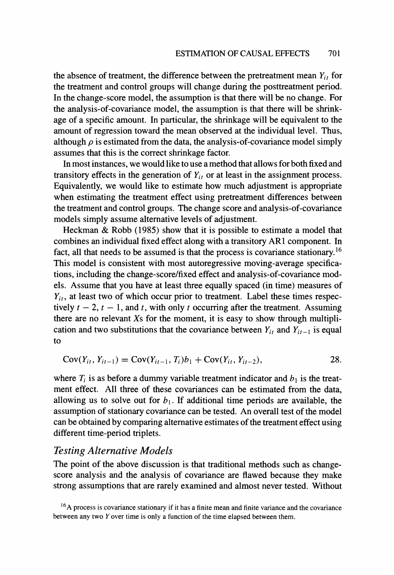the absence of treatment, the difference between the pretreatment mean  $Y_{it}$  for **the treatment and control groups will change during the posttreatment period. In the change-score model, the assumption is that there will be no change. For the analysis-of-covariance model, the assumption is that there will be shrinkage of a specific amount. In particular, the shrinkage will be equivalent to the amount of regression toward the mean observed at the individual level. Thus,**  although  $\rho$  is estimated from the data, the analysis-of-covariance model simply **assumes that this is the correct shrinkage factor.** 

**In most instances, we would like to use a method that allows for both fixed and**  transitory effects in the generation of  $Y_{it}$  or at least in the assignment process. **Equivalently, we would like to estimate how much adjustment is appropriate when estimating the treatment effect using pretreatment differences between the treatment and control groups. The change score and analysis-of-covariance models simply assume alternative levels of adjustment.** 

**Heckman & Robb (1985) show that it is possible to estimate a model that combines an individual fixed effect along with a transitory AR1 component. In fact, all that needs to be assumed is that the process is covariance stationary.16 This model is consistent with most autoregressive moving-average specifications, including the change-score/fixed effect and analysis-of-covariance models. Assume that you have at least three equally spaced (in time) measures of Yi, at least two of which occur prior to treatment. Label these times respec**tively  $t - 2$ ,  $t - 1$ , and t, with only t occurring after the treatment. Assuming **there are no relevant Xs for the moment, it is easy to show through multipli**cation and two substitutions that the covariance between  $Y_{it}$  and  $Y_{it-1}$  is equal **to** 

$$
Cov(Y_{it}, Y_{it-1}) = Cov(Y_{it-1}, T_i)b_1 + Cov(Y_{it}, Y_{it-2}),
$$
 28.

where  $T_i$  is as before a dummy variable treatment indicator and  $b_1$  is the treat**ment effect. All three of these covariances can be estimated from the data,**  allowing us to solve out for  $b_1$ . If additional time periods are available, the **assumption of stationary covariance can be tested. An overall test of the model can be obtained by comparing alternative estimates of the treatment effect using different time-period triplets.** 

## **Testing Alternative Models**

**The point of the above discussion is that traditional methods such as changescore analysis and the analysis of covariance are flawed because they make strong assumptions that are rarely examined and almost never tested. Without** 

**<sup>16</sup>A process is covariance stationary if it has a finite mean and finite variance and the covariance between any two Y over time is only a function of the time elapsed between them.**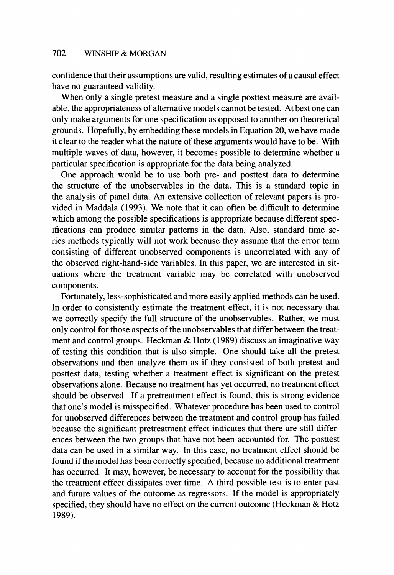**confidence that their assumptions are valid, resulting estimates of a causal effect have no guaranteed validity.** 

**When only a single pretest measure and a single posttest measure are available, the appropriateness of alternative models cannot be tested. At best one can only make arguments for one specification as opposed to another on theoretical grounds. Hopefully, by embedding these models in Equation 20, we have made it clear to the reader what the nature of these arguments would have to be. With multiple waves of data, however, it becomes possible to determine whether a particular specification is appropriate for the data being analyzed.** 

**One approach would be to use both pre- and posttest data to determine the structure of the unobservables in the data. This is a standard topic in the analysis of panel data. An extensive collection of relevant papers is provided in Maddala (1993). We note that it can often be difficult to determine which among the possible specifications is appropriate because different specifications can produce similar patterns in the data. Also, standard time series methods typically will not work because they assume that the error term consisting of different unobserved components is uncorrelated with any of the observed right-hand-side variables. In this paper, we are interested in situations where the treatment variable may be correlated with unobserved components.** 

**Fortunately, less-sophisticated and more easily applied methods can be used. In order to consistently estimate the treatment effect, it is not necessary that we correctly specify the full structure of the unobservables. Rather, we must only control for those aspects of the unobservables that differ between the treatment and control groups. Heckman & Hotz (1989) discuss an imaginative way of testing this condition that is also simple. One should take all the pretest observations and then analyze them as if they consisted of both pretest and posttest data, testing whether a treatment effect is significant on the pretest observations alone. Because no treatment has yet occurred, no treatment effect should be observed. If a pretreatment effect is found, this is strong evidence that one's model is misspecified. Whatever procedure has been used to control for unobserved differences between the treatment and control group has failed because the significant pretreatment effect indicates that there are still differences between the two groups that have not been accounted for. The posttest data can be used in a similar way. In this case, no treatment effect should be found if the model has been correctly specified, because no additional treatment has occurred. It may, however, be necessary to account for the possibility that the treatment effect dissipates over time. A third possible test is to enter past and future values of the outcome as regressors. If the model is appropriately specified, they should have no effect on the current outcome (Heckman & Hotz 1989).**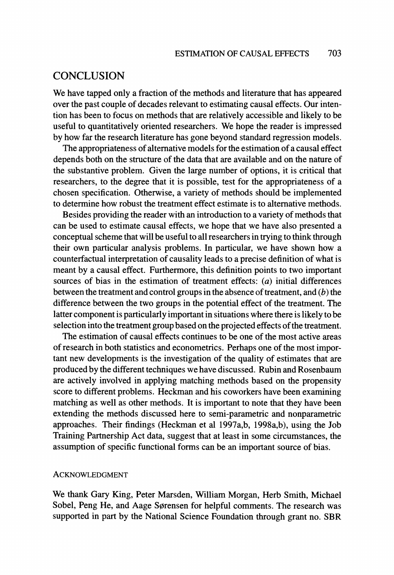## **CONCLUSION**

**We have tapped only a fraction of the methods and literature that has appeared over the past couple of decades relevant to estimating causal effects. Our intention has been to focus on methods that are relatively accessible and likely to be useful to quantitatively oriented researchers. We hope the reader is impressed by how far the research literature has gone beyond standard regression models.** 

**The appropriateness of alternative models for the estimation of a causal effect depends both on the structure of the data that are available and on the nature of the substantive problem. Given the large number of options, it is critical that researchers, to the degree that it is possible, test for the appropriateness of a chosen specification. Otherwise, a variety of methods should be implemented to determine how robust the treatment effect estimate is to alternative methods.** 

**Besides providing the reader with an introduction to a variety of methods that can be used to estimate causal effects, we hope that we have also presented a conceptual scheme that will be useful to all researchers in trying to think through their own particular analysis problems. In particular, we have shown how a counterfactual interpretation of causality leads to a precise definition of what is meant by a causal effect. Furthermore, this definition points to two important sources of bias in the estimation of treatment effects: (a) initial differences between the treatment and control groups in the absence of treatment, and (b) the difference between the two groups in the potential effect of the treatment. The latter component is particularly important in situations where there is likely to be selection into the treatment group based on the projected effects of the treatment.** 

**The estimation of causal effects continues to be one of the most active areas of research in both statistics and econometrics. Perhaps one of the most important new developments is the investigation of the quality of estimates that are produced by the different techniques we have discussed. Rubin and Rosenbaum are actively involved in applying matching methods based on the propensity score to different problems. Heckman and his coworkers have been examining matching as well as other methods. It is important to note that they have been extending the methods discussed here to semi-parametric and nonparametric approaches. Their findings (Heckman et al 1997a,b, 1998a,b), using the Job Training Partnership Act data, suggest that at least in some circumstances, the assumption of specific functional forms can be an important source of bias.** 

#### **ACKNOWLEDGMENT**

**We thank Gary King, Peter Marsden, William Morgan, Herb Smith, Michael**  Sobel, Peng He, and Aage Sørensen for helpful comments. The research was **supported in part by the National Science Foundation through grant no. SBR**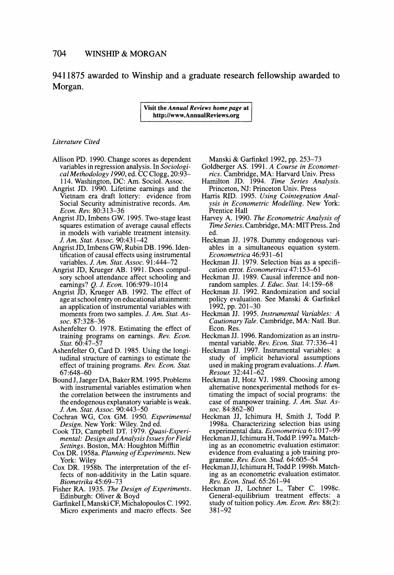**9411875 awarded to Winship and a graduate research fellowship awarded to Morgan.** 

> **Visit the Annual Reviews home page at http://www.AnnualReviews.org**

#### **Literature Cited**

- **Allison PD. 1990. Change scores as dependent variables in regression analysis. In Sociological Methodology 1990, ed. CC Clogg, 20:93- 114. Washington, DC: Am. Sociol. Assoc.**
- **Angrist JD. 1990. Lifetime earnings and the Vietnam era draft lottery: evidence from Social Security administrative records. Am. Econ. Rev. 80:313-36**
- **Angrist JD, Imbens GW. 1995. Two-stage least squares estimation of average causal effects in models with variable treatment intensity. J. Am. Stat. Assoc. 90:431-42**
- **Angrist JD, Imbens GW, Rubin DB. 1996. Identification of causal effects using instrumental variables. J. Am. Stat. Assoc. 91:444-72**
- **Angrist JD, Krueger AB. 1991. Does compulsory school attendance affect schooling and earnings? Q. J. Econ. 106:979-1014**
- **Angrist JD, Krueger AB. 1992. The effect of age at school entry on educational attainment: an application of instrumental variables with moments from two samples. J. Am. Stat. Assoc. 87:328-36**
- **Ashenfelter 0. 1978. Estimating the effect of training programs on earnings. Rev. Econ. Stat. 60:47-57**
- **Ashenfelter O, Card D. 1985. Using the longitudinal structure of earnings to estimate the effect of training programs. Rev. Econ. Stat. 67:648-60**
- **Bound J, Jaeger DA, Baker RM. 1995. Problems with instrumental variables estimation when the correlation between the instruments and the endogenous explanatory variable is weak. J. Am. Stat. Assoc. 90:443-50**
- **Cochran WG, Cox GM. 1950. Experimental Design. New York: Wiley. 2nd ed.**
- **Cook TD, Campbell DT. 1979. Quasi-Experimental: Design andAnalysis Issues for Field Settings. Boston, MA: Houghton Mifflin**
- **Cox DR. 1958a. Planning of Experiments. New York: Wiley**
- **Cox DR. 1958b. The interpretation of the effects of non-additivity in the Latin square. Biometrika 45:69-73**
- **Fisher RA. 1935. The Design of Experiments. Edinburgh: Oliver & Boyd**
- **Garfinkel I, Manski CF, Michalopoulos C. 1992. Micro experiments and macro effects. See**

**Manski & Garfinkel 1992, pp. 253-73** 

- **Goldberger AS. 1991. A Course in Econometrics. Cambridge, MA: Harvard Univ. Press**
- **Hamilton JD. 1994. Time Series Analysis. Princeton, NJ: Princeton Univ. Press**
- **Harris RID. 1995. Using Cointegration Analysis in Econometric Modelling. New York: Prentice Hall**
- **Harvey A. 1990. The Econometric Analysis of Time Series. Cambridge, MA: MIT Press. 2nd ed.**
- **Heckman JJ. 1978. Dummy endogenous variables in a simultaneous equation system. Econometrica 46:931-61**
- **Heckman JJ. 1979. Selection bias as a specification error. Econometrica 47:153-61**
- **Heckman JJ. 1989. Causal inference and nonrandom samples. J. Educ. Stat. 14:159-68**
- **Heckman JJ. 1992. Randomization and social policy evaluation. See Manski & Garfinkel 1992, pp. 201-30**
- **Heckman JJ. 1995. Instrumental Variables: A Cautionary Tale. Cambridge, MA: Natl. Bur. Econ. Res.**
- **Heckman JJ. 1996. Randomization as an instrumental variable. Rev. Econ. Stat. 77:336-41**
- **Heckman JJ. 1997. Instrumental variables: a study of implicit behavioral assumptions used in making program evaluations. J. Hum. Resour 32:441-62**
- **Heckman JJ, Hotz VJ. 1989. Choosing among alternative nonexperimental methods for estimating the impact of social programs: the case of manpower training. J. Am. Stat. Assoc. 84:862-80**
- **Heckman JJ, Ichimura H, Smith J, Todd P. 1998a. Characterizing selection bias using experimental data. Econometrica 6:1017-99**
- **Heckman JJ, Ichimura H, Todd P. 1997a. Matching as an econometric evaluation estimator: evidence from evaluating a job training programme. Rev. Econ. Stud. 64:605-54**
- **Heckman JJ, Ichimura H, Todd P. 1998b. Matching as an econometric evaluation estimator. Rev. Econ. Stud. 65:261-94**
- **Heckman JJ, Lochner L, Taber C. 1998c. General-equilibrium treatment effects: a study of tuition policy. Am. Econ. Rev. 88(2): 381-92**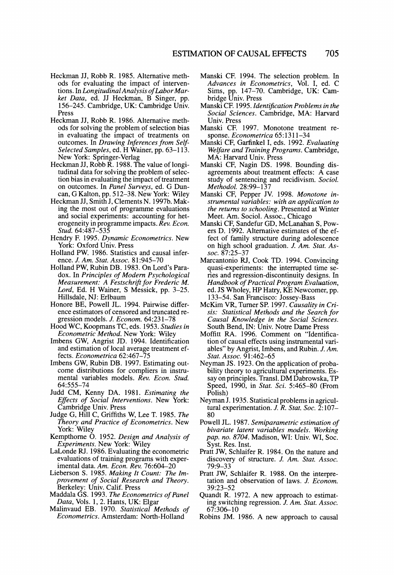- **Heckman JJ, Robb R. 1985. Alternative methods for evaluating the impact of interventions. In Longitudinal Analysis ofLaborMarket Data, ed. JJ Heckman, B Singer, pp. 156-245. Cambridge, UK: Cambridge Univ. Press**
- **Heckman JJ, Robb R. 1986. Alternative methods for solving the problem of selection bias in evaluating the impact of treatments on outcomes. In Drawing Inferences from Self-Selected Samples, ed. H Wainer, pp. 63-113. New York: Springer-Verlag**
- **Heckman JJ, Robb R. 1988. The value of longitudinal data for solving the problem of selection bias in evaluating the impact of treatment on outcomes. In Panel Surveys, ed. G Duncan, G Kalton, pp. 512-38. New York: Wiley**
- **Heckman JJ, Smith J, Clements N. 1997b. Making the most out of programme evaluations and social experiments: accounting for heterogeneity in programme impacts. Rev. Econ. Stud. 64:487-535**
- **Hendry F. 1995. Dynamic Econometrics. New York: Oxford Univ. Press**
- **Holland PW. 1986. Statistics and causal inference. J. Am. Stat. Assoc. 81:945-70**
- **Holland PW, Rubin DB. 1983. On Lord's Paradox. In Principles of Modern Psychological Measurement: A Festschrift for Frederic M. Lord, Ed. H Wainer, S Messick, pp. 3-25. Hillsdale, NJ: Erlbaum**
- **Honore BE, Powell JL. 1994. Pairwise difference estimators of censored and truncated regression models. J. Econom. 64:231-78**
- **Hood WC, Koopmans TC, eds. 1953. Studies in Econometric Method. New York: Wiley**
- **Imbens GW, Angrist JD. 1994. Identification and estimation of local average treatment effects. Econometrica 62:467-75**
- **Imbens GW, Rubin DB. 1997. Estimating outcome distributions for compliers in instrumental variables models. Rev. Econ. Stud. 64:555-74**
- **Judd CM, Kenny DA. 1981. Estimating the Effects of Social Interventions. New York: Cambridge Univ. Press**
- **Judge G, Hill C, Griffiths W, Lee T. 1985. The Theory and Practice of Econometrics. New York: Wiley**
- **Kempthorne 0. 1952. Design and Analysis of Experiments. New York: Wiley**
- **LaLonde RJ. 1986. Evaluating the econometric evaluations of training programs with experimental data. Am. Econ. Rev. 76:604-20**
- **Lieberson S. 1985. Making It Count: The Improvement of Social Research and Theory. Berkeley: Univ. Calif. Press**
- **Maddala GS. 1993. The Econometrics of Panel Data, Vols. 1, 2. Hants, UK: Elgar**
- **Malinvaud EB. 1970. Statistical Methods of Econometrics. Amsterdam: North-Holland**
- **Manski CF. 1994. The selection problem. In Advances in Econometrics, Vol. I, ed. C Sims, pp. 147-70. Cambridge, UK: Cambridge Univ. Press**
- **Manski CF. 1995. Identification Problems in the Social Sciences. Cambridge, MA: Harvard Univ. Press**
- **Manski CF. 1997. Monotone treatment response. Econometrica 65:1311-34**
- **Manski CF, Garfinkel I, eds. 1992. Evaluating Welfare and Training Programs. Cambridge, MA: Harvard Univ. Press**
- **Manski CF, Nagin DS. 1998. Bounding disagreements about treatment effects: A case study of sentencing and recidivism. Sociol. Methodol. 28:99-137**
- **Manski CF, Pepper JV. 1998. Monotone instrumental variables: with an application to the returns to schooling. Presented at Winter Meet. Am. Sociol. Assoc., Chicago**
- **Manski CF, Sandefur GD, McLanahan S, Powers D. 1992. Alternative estimates of the effect of family structure during adolescence on high school graduation. J. Am. Stat. Assoc. 87:25-37**
- **Marcantonio RJ, Cook TD. 1994. Convincing quasi-experiments: the interrupted time series and regression-discontinuity designs. In Handbook of Practical Program Evaluation, ed. JS Wholey, HP Hatry, KE Newcomer, pp. 133-54. San Francisco: Jossey-Bass**
- **McKim VR, Turner SP. 1997. Causality in Crisis: Statistical Methods and the Search for Causal Knowledge in the Social Sciences. South Bend, IN: Univ. Notre Dame Press**
- **Moffitt RA. 1996. Comment on "Identification of causal effects using instrumental variables" by Angrist, Imbens, and Rubin. J. Am. Stat. Assoc. 91:462-65**
- **Neyman JS. 1923. On the application of probability theory to agricultural experiments. Essay on principles. Transl. DM Dabrowska, TP Speed, 1990, in Stat. Sci. 5:465-80 (From Polish)**
- **Neyman J. 1935. Statistical problems in agricultural experimentation. J. R. Stat. Soc. 2:107- 80**
- **Powell JL. 1987. Semiparametric estimation of bivariate latent variables models. Working pap. no. 8704. Madison, WI: Univ. WI, Soc. Syst. Res. Inst.**
- **Pratt JW, Schlaifer R. 1984. On the nature and discovery of structure. J. Am. Stat. Assoc. 79:9-33**
- **Pratt JW, Schlaifer R. 1988. On the interpretation and observation of laws. J. Econom. 39:23-52**
- **Quandt R. 1972. A new approach to estimating switching regression. J. Am. Stat. Assoc. 67:306-10**
- **Robins JM. 1986. A new approach to causal**